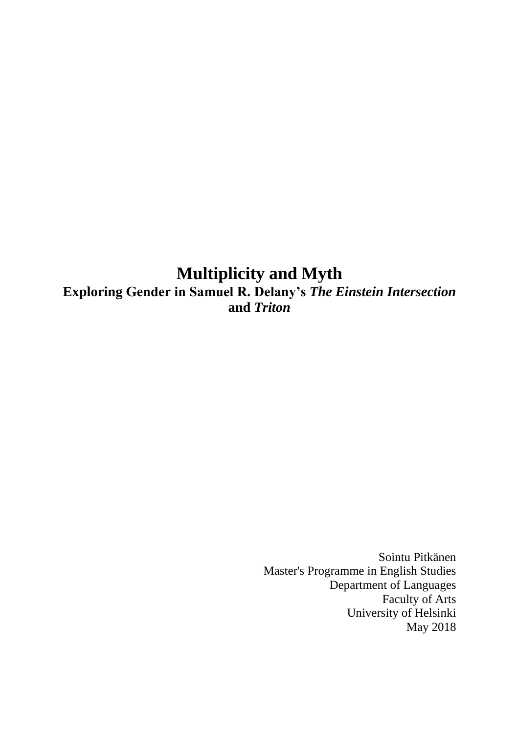# **Multiplicity and Myth Exploring Gender in Samuel R. Delany's** *The Einstein Intersection* **and** *Triton*

Sointu Pitkänen Master's Programme in English Studies Department of Languages Faculty of Arts University of Helsinki May 2018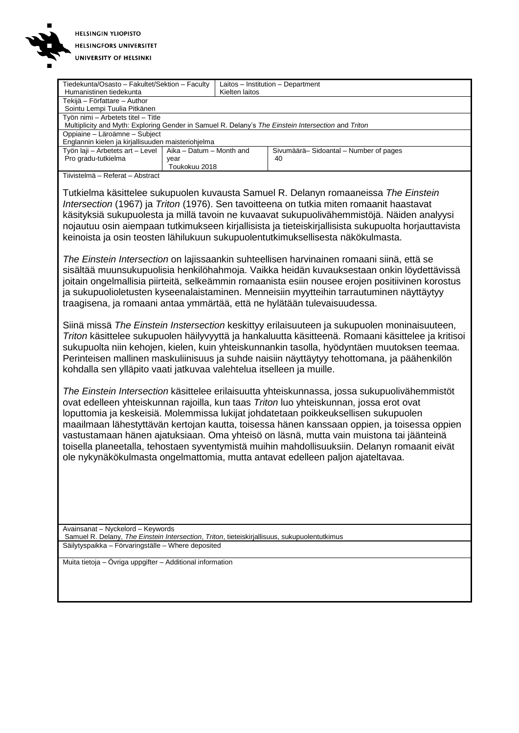

|                                                                                                    | Tiedekunta/Osasto - Fakultet/Sektion - Faculty |                | Laitos - Institution - Department     |  |
|----------------------------------------------------------------------------------------------------|------------------------------------------------|----------------|---------------------------------------|--|
| Humanistinen tiedekunta                                                                            |                                                | Kielten laitos |                                       |  |
| Tekijä – Författare – Author                                                                       |                                                |                |                                       |  |
| Sointu Lempi Tuulia Pitkänen                                                                       |                                                |                |                                       |  |
| Työn nimi - Arbetets titel - Title                                                                 |                                                |                |                                       |  |
| Multiplicity and Myth: Exploring Gender in Samuel R. Delany's The Einstein Intersection and Triton |                                                |                |                                       |  |
| Oppiaine - Läroämne - Subject                                                                      |                                                |                |                                       |  |
| Englannin kielen ja kirjallisuuden maisteriohjelma                                                 |                                                |                |                                       |  |
| Työn laji – Arbetets art – Level   Aika – Datum – Month and                                        |                                                |                | Sivumäärä-Sidoantal - Number of pages |  |
| Pro gradu-tutkielma                                                                                | year                                           |                | 40                                    |  |
|                                                                                                    | Toukokuu 2018                                  |                |                                       |  |

Tiivistelmä – Referat – Abstract

Tutkielma käsittelee sukupuolen kuvausta Samuel R. Delanyn romaaneissa *The Einstein Intersection* (1967) ja *Triton* (1976). Sen tavoitteena on tutkia miten romaanit haastavat käsityksiä sukupuolesta ja millä tavoin ne kuvaavat sukupuolivähemmistöjä. Näiden analyysi nojautuu osin aiempaan tutkimukseen kirjallisista ja tieteiskirjallisista sukupuolta horjauttavista keinoista ja osin teosten lähilukuun sukupuolentutkimuksellisesta näkökulmasta.

*The Einstein Intersection* on lajissaankin suhteellisen harvinainen romaani siinä, että se sisältää muunsukupuolisia henkilöhahmoja. Vaikka heidän kuvauksestaan onkin löydettävissä joitain ongelmallisia piirteitä, selkeämmin romaanista esiin nousee erojen positiivinen korostus ja sukupuolioletusten kyseenalaistaminen. Menneisiin myytteihin tarrautuminen näyttäytyy traagisena, ja romaani antaa ymmärtää, että ne hylätään tulevaisuudessa.

Siinä missä *The Einstein Instersection* keskittyy erilaisuuteen ja sukupuolen moninaisuuteen, *Triton* käsittelee sukupuolen häilyvyyttä ja hankaluutta käsitteenä. Romaani käsittelee ja kritisoi sukupuolta niin kehojen, kielen, kuin yhteiskunnankin tasolla, hyödyntäen muutoksen teemaa. Perinteisen mallinen maskuliinisuus ja suhde naisiin näyttäytyy tehottomana, ja päähenkilön kohdalla sen ylläpito vaati jatkuvaa valehtelua itselleen ja muille.

*The Einstein Intersection* käsittelee erilaisuutta yhteiskunnassa, jossa sukupuolivähemmistöt ovat edelleen yhteiskunnan rajoilla, kun taas *Triton* luo yhteiskunnan, jossa erot ovat loputtomia ja keskeisiä. Molemmissa lukijat johdatetaan poikkeuksellisen sukupuolen maailmaan lähestyttävän kertojan kautta, toisessa hänen kanssaan oppien, ja toisessa oppien vastustamaan hänen ajatuksiaan. Oma yhteisö on läsnä, mutta vain muistona tai jäänteinä toisella planeetalla, tehostaen syventymistä muihin mahdollisuuksiin. Delanyn romaanit eivät ole nykynäkökulmasta ongelmattomia, mutta antavat edelleen paljon ajateltavaa.

Avainsanat – Nyckelord – Keywords Samuel R. Delany, *The Einstein Intersection*, *Triton*, tieteiskirjallisuus, sukupuolentutkimus Säilytyspaikka – Förvaringställe – Where deposited

Muita tietoja – Övriga uppgifter – Additional information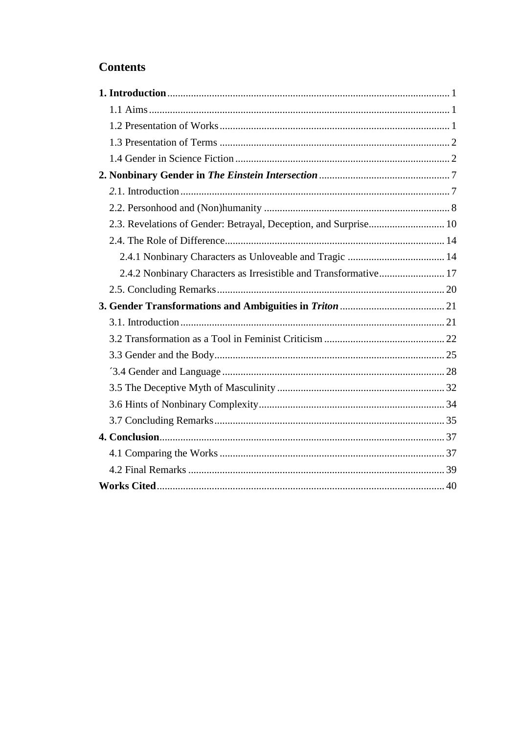## **Contents**

| 2.3. Revelations of Gender: Betrayal, Deception, and Surprise 10 |
|------------------------------------------------------------------|
|                                                                  |
|                                                                  |
| 2.4.2 Nonbinary Characters as Irresistible and Transformative 17 |
|                                                                  |
|                                                                  |
|                                                                  |
|                                                                  |
|                                                                  |
|                                                                  |
|                                                                  |
|                                                                  |
|                                                                  |
|                                                                  |
|                                                                  |
|                                                                  |
|                                                                  |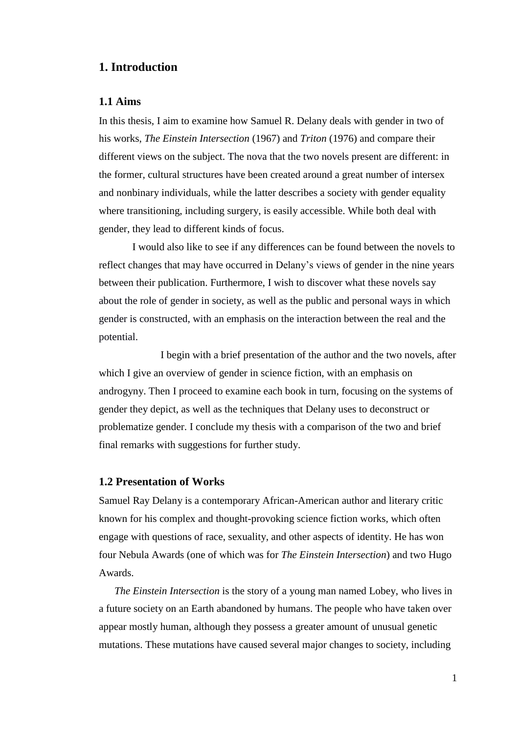## **1. Introduction**

#### **1.1 Aims**

In this thesis, I aim to examine how Samuel R. Delany deals with gender in two of his works, *The Einstein Intersection* (1967) and *Triton* (1976) and compare their different views on the subject. The nova that the two novels present are different: in the former, cultural structures have been created around a great number of intersex and nonbinary individuals, while the latter describes a society with gender equality where transitioning, including surgery, is easily accessible. While both deal with gender, they lead to different kinds of focus.

I would also like to see if any differences can be found between the novels to reflect changes that may have occurred in Delany's views of gender in the nine years between their publication. Furthermore, I wish to discover what these novels say about the role of gender in society, as well as the public and personal ways in which gender is constructed, with an emphasis on the interaction between the real and the potential.

I begin with a brief presentation of the author and the two novels, after which I give an overview of gender in science fiction, with an emphasis on androgyny. Then I proceed to examine each book in turn, focusing on the systems of gender they depict, as well as the techniques that Delany uses to deconstruct or problematize gender. I conclude my thesis with a comparison of the two and brief final remarks with suggestions for further study.

#### **1.2 Presentation of Works**

Samuel Ray Delany is a contemporary African-American author and literary critic known for his complex and thought-provoking science fiction works, which often engage with questions of race, sexuality, and other aspects of identity. He has won four Nebula Awards (one of which was for *The Einstein Intersection*) and two Hugo Awards.

*The Einstein Intersection* is the story of a young man named Lobey, who lives in a future society on an Earth abandoned by humans. The people who have taken over appear mostly human, although they possess a greater amount of unusual genetic mutations. These mutations have caused several major changes to society, including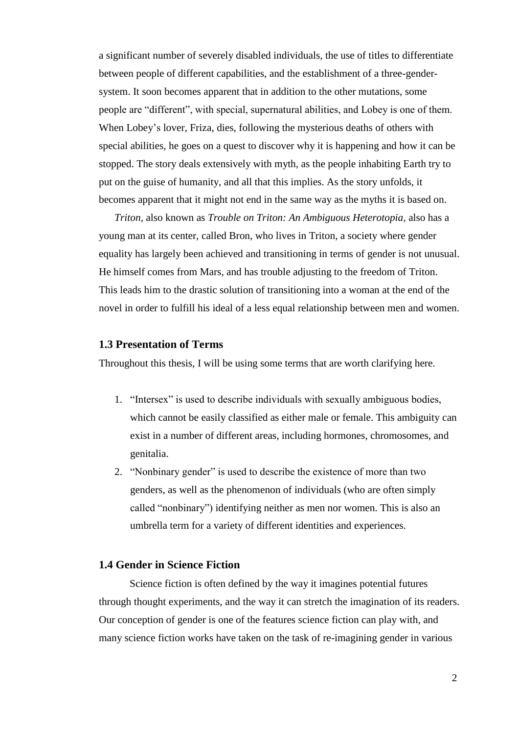a significant number of severely disabled individuals, the use of titles to differentiate between people of different capabilities, and the establishment of a three-gendersystem. It soon becomes apparent that in addition to the other mutations, some people are "different", with special, supernatural abilities, and Lobey is one of them. When Lobey's lover, Friza, dies, following the mysterious deaths of others with special abilities, he goes on a quest to discover why it is happening and how it can be stopped. The story deals extensively with myth, as the people inhabiting Earth try to put on the guise of humanity, and all that this implies. As the story unfolds, it becomes apparent that it might not end in the same way as the myths it is based on.

*Triton,* also known as *Trouble on Triton: An Ambiguous Heterotopia*, also has a young man at its center, called Bron, who lives in Triton, a society where gender equality has largely been achieved and transitioning in terms of gender is not unusual. He himself comes from Mars, and has trouble adjusting to the freedom of Triton. This leads him to the drastic solution of transitioning into a woman at the end of the novel in order to fulfill his ideal of a less equal relationship between men and women.

#### **1.3 Presentation of Terms**

Throughout this thesis, I will be using some terms that are worth clarifying here.

- 1. "Intersex" is used to describe individuals with sexually ambiguous bodies, which cannot be easily classified as either male or female. This ambiguity can exist in a number of different areas, including hormones, chromosomes, and genitalia.
- 2. "Nonbinary gender" is used to describe the existence of more than two genders, as well as the phenomenon of individuals (who are often simply called "nonbinary") identifying neither as men nor women. This is also an umbrella term for a variety of different identities and experiences.

#### **1.4 Gender in Science Fiction**

Science fiction is often defined by the way it imagines potential futures through thought experiments, and the way it can stretch the imagination of its readers. Our conception of gender is one of the features science fiction can play with, and many science fiction works have taken on the task of re-imagining gender in various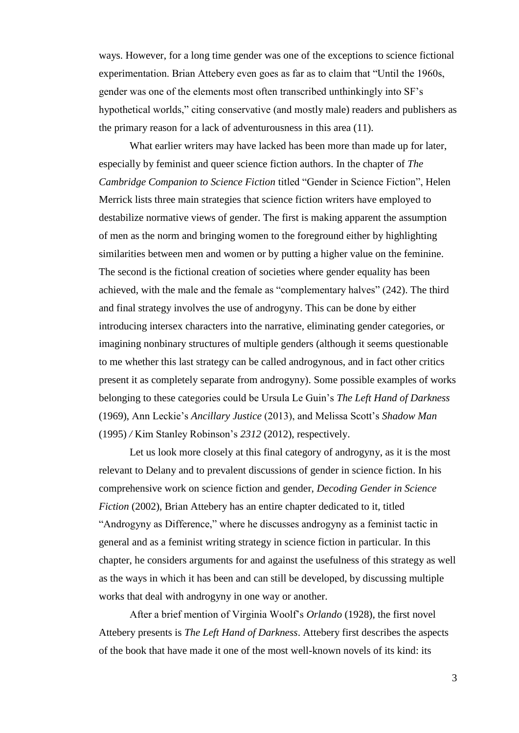ways. However, for a long time gender was one of the exceptions to science fictional experimentation. Brian Attebery even goes as far as to claim that "Until the 1960s, gender was one of the elements most often transcribed unthinkingly into SF's hypothetical worlds," citing conservative (and mostly male) readers and publishers as the primary reason for a lack of adventurousness in this area (11).

What earlier writers may have lacked has been more than made up for later, especially by feminist and queer science fiction authors. In the chapter of *The Cambridge Companion to Science Fiction* titled "Gender in Science Fiction", Helen Merrick lists three main strategies that science fiction writers have employed to destabilize normative views of gender. The first is making apparent the assumption of men as the norm and bringing women to the foreground either by highlighting similarities between men and women or by putting a higher value on the feminine. The second is the fictional creation of societies where gender equality has been achieved, with the male and the female as "complementary halves" (242). The third and final strategy involves the use of androgyny. This can be done by either introducing intersex characters into the narrative, eliminating gender categories, or imagining nonbinary structures of multiple genders (although it seems questionable to me whether this last strategy can be called androgynous, and in fact other critics present it as completely separate from androgyny). Some possible examples of works belonging to these categories could be Ursula Le Guin's *The Left Hand of Darkness*  (1969), Ann Leckie's *Ancillary Justice* (2013), and Melissa Scott's *Shadow Man*  (1995) */* Kim Stanley Robinson's *2312* (2012), respectively.

Let us look more closely at this final category of androgyny, as it is the most relevant to Delany and to prevalent discussions of gender in science fiction. In his comprehensive work on science fiction and gender, *Decoding Gender in Science Fiction* (2002), Brian Attebery has an entire chapter dedicated to it, titled "Androgyny as Difference," where he discusses androgyny as a feminist tactic in general and as a feminist writing strategy in science fiction in particular. In this chapter, he considers arguments for and against the usefulness of this strategy as well as the ways in which it has been and can still be developed, by discussing multiple works that deal with androgyny in one way or another.

After a brief mention of Virginia Woolf's *Orlando* (1928), the first novel Attebery presents is *The Left Hand of Darkness*. Attebery first describes the aspects of the book that have made it one of the most well-known novels of its kind: its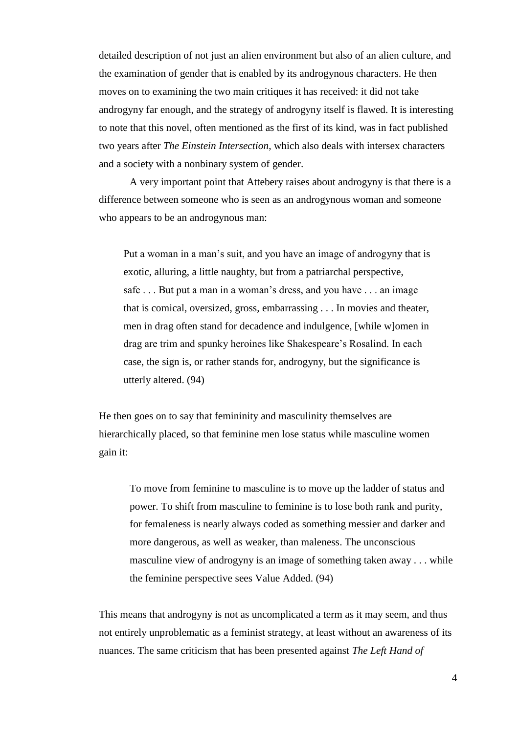detailed description of not just an alien environment but also of an alien culture, and the examination of gender that is enabled by its androgynous characters. He then moves on to examining the two main critiques it has received: it did not take androgyny far enough, and the strategy of androgyny itself is flawed. It is interesting to note that this novel, often mentioned as the first of its kind, was in fact published two years after *The Einstein Intersection*, which also deals with intersex characters and a society with a nonbinary system of gender.

A very important point that Attebery raises about androgyny is that there is a difference between someone who is seen as an androgynous woman and someone who appears to be an androgynous man:

Put a woman in a man's suit, and you have an image of androgyny that is exotic, alluring, a little naughty, but from a patriarchal perspective, safe . . . But put a man in a woman's dress, and you have . . . an image that is comical, oversized, gross, embarrassing . . . In movies and theater, men in drag often stand for decadence and indulgence, [while w]omen in drag are trim and spunky heroines like Shakespeare's Rosalind. In each case, the sign is, or rather stands for, androgyny, but the significance is utterly altered. (94)

He then goes on to say that femininity and masculinity themselves are hierarchically placed, so that feminine men lose status while masculine women gain it:

To move from feminine to masculine is to move up the ladder of status and power. To shift from masculine to feminine is to lose both rank and purity, for femaleness is nearly always coded as something messier and darker and more dangerous, as well as weaker, than maleness. The unconscious masculine view of androgyny is an image of something taken away . . . while the feminine perspective sees Value Added. (94)

This means that androgyny is not as uncomplicated a term as it may seem, and thus not entirely unproblematic as a feminist strategy, at least without an awareness of its nuances. The same criticism that has been presented against *The Left Hand of*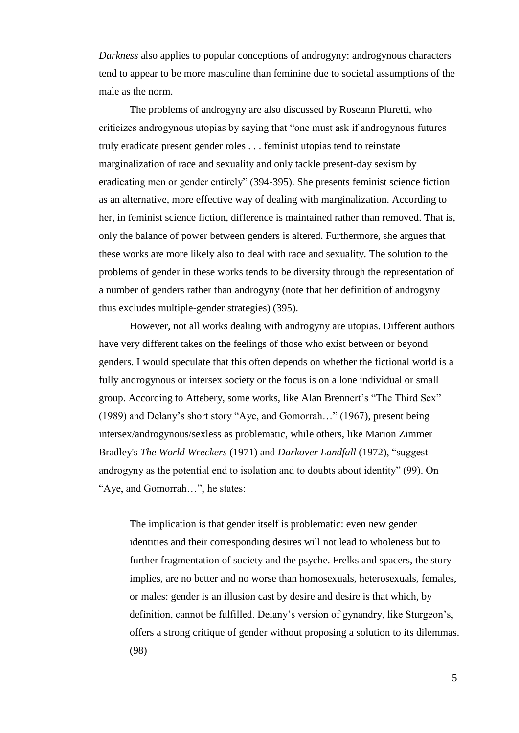*Darkness* also applies to popular conceptions of androgyny: androgynous characters tend to appear to be more masculine than feminine due to societal assumptions of the male as the norm.

The problems of androgyny are also discussed by Roseann Pluretti, who criticizes androgynous utopias by saying that "one must ask if androgynous futures truly eradicate present gender roles . . . feminist utopias tend to reinstate marginalization of race and sexuality and only tackle present-day sexism by eradicating men or gender entirely" (394-395). She presents feminist science fiction as an alternative, more effective way of dealing with marginalization. According to her, in feminist science fiction, difference is maintained rather than removed. That is, only the balance of power between genders is altered. Furthermore, she argues that these works are more likely also to deal with race and sexuality. The solution to the problems of gender in these works tends to be diversity through the representation of a number of genders rather than androgyny (note that her definition of androgyny thus excludes multiple-gender strategies) (395).

However, not all works dealing with androgyny are utopias. Different authors have very different takes on the feelings of those who exist between or beyond genders. I would speculate that this often depends on whether the fictional world is a fully androgynous or intersex society or the focus is on a lone individual or small group. According to Attebery, some works, like Alan Brennert's "The Third Sex" (1989) and Delany's short story "Aye, and Gomorrah…" (1967), present being intersex/androgynous/sexless as problematic, while others, like Marion Zimmer Bradley's *The World Wreckers* (1971) and *Darkover Landfall* (1972), "suggest androgyny as the potential end to isolation and to doubts about identity" (99). On "Aye, and Gomorrah…", he states:

The implication is that gender itself is problematic: even new gender identities and their corresponding desires will not lead to wholeness but to further fragmentation of society and the psyche. Frelks and spacers, the story implies, are no better and no worse than homosexuals, heterosexuals, females, or males: gender is an illusion cast by desire and desire is that which, by definition, cannot be fulfilled. Delany's version of gynandry, like Sturgeon's, offers a strong critique of gender without proposing a solution to its dilemmas. (98)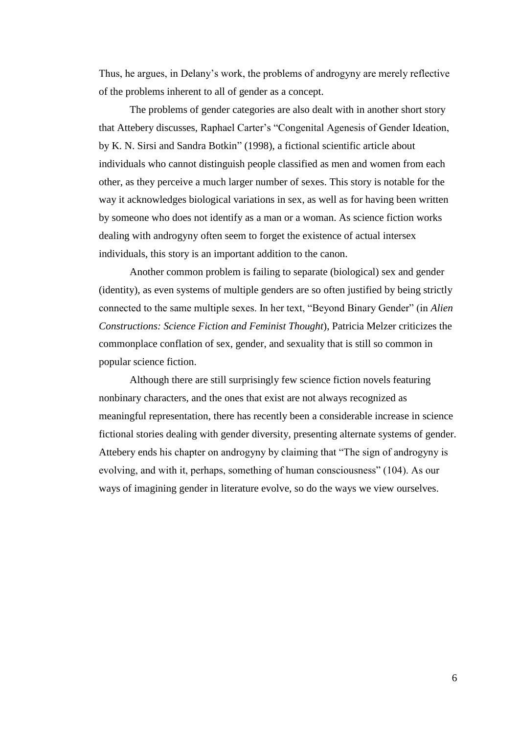Thus, he argues, in Delany's work, the problems of androgyny are merely reflective of the problems inherent to all of gender as a concept.

The problems of gender categories are also dealt with in another short story that Attebery discusses, Raphael Carter's "Congenital Agenesis of Gender Ideation, by K. N. Sirsi and Sandra Botkin" (1998), a fictional scientific article about individuals who cannot distinguish people classified as men and women from each other, as they perceive a much larger number of sexes. This story is notable for the way it acknowledges biological variations in sex, as well as for having been written by someone who does not identify as a man or a woman. As science fiction works dealing with androgyny often seem to forget the existence of actual intersex individuals, this story is an important addition to the canon.

Another common problem is failing to separate (biological) sex and gender (identity), as even systems of multiple genders are so often justified by being strictly connected to the same multiple sexes. In her text, "Beyond Binary Gender" (in *Alien Constructions: Science Fiction and Feminist Thought*), Patricia Melzer criticizes the commonplace conflation of sex, gender, and sexuality that is still so common in popular science fiction.

Although there are still surprisingly few science fiction novels featuring nonbinary characters, and the ones that exist are not always recognized as meaningful representation, there has recently been a considerable increase in science fictional stories dealing with gender diversity, presenting alternate systems of gender. Attebery ends his chapter on androgyny by claiming that "The sign of androgyny is evolving, and with it, perhaps, something of human consciousness" (104). As our ways of imagining gender in literature evolve, so do the ways we view ourselves.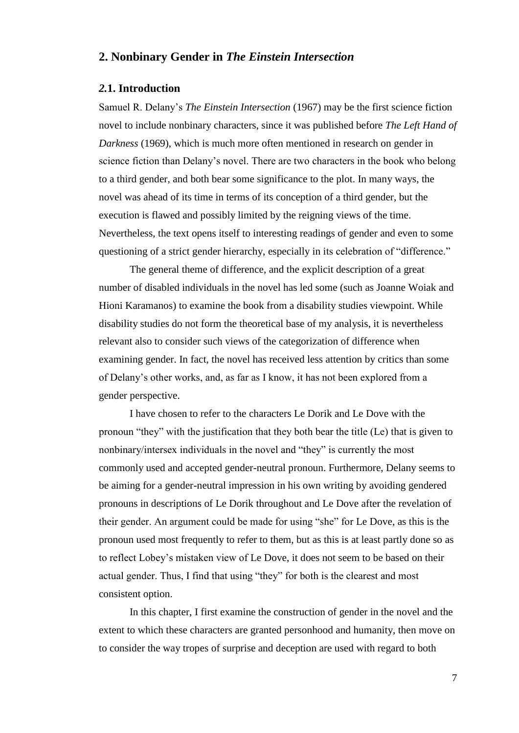## **2. Nonbinary Gender in** *The Einstein Intersection*

#### *2.***1. Introduction**

Samuel R. Delany's *The Einstein Intersection* (1967) may be the first science fiction novel to include nonbinary characters, since it was published before *The Left Hand of Darkness* (1969), which is much more often mentioned in research on gender in science fiction than Delany's novel. There are two characters in the book who belong to a third gender, and both bear some significance to the plot. In many ways, the novel was ahead of its time in terms of its conception of a third gender, but the execution is flawed and possibly limited by the reigning views of the time. Nevertheless, the text opens itself to interesting readings of gender and even to some questioning of a strict gender hierarchy, especially in its celebration of "difference."

The general theme of difference, and the explicit description of a great number of disabled individuals in the novel has led some (such as Joanne Woiak and Hioni Karamanos) to examine the book from a disability studies viewpoint. While disability studies do not form the theoretical base of my analysis, it is nevertheless relevant also to consider such views of the categorization of difference when examining gender. In fact, the novel has received less attention by critics than some of Delany's other works, and, as far as I know, it has not been explored from a gender perspective.

I have chosen to refer to the characters Le Dorik and Le Dove with the pronoun "they" with the justification that they both bear the title (Le) that is given to nonbinary/intersex individuals in the novel and "they" is currently the most commonly used and accepted gender-neutral pronoun. Furthermore, Delany seems to be aiming for a gender-neutral impression in his own writing by avoiding gendered pronouns in descriptions of Le Dorik throughout and Le Dove after the revelation of their gender. An argument could be made for using "she" for Le Dove, as this is the pronoun used most frequently to refer to them, but as this is at least partly done so as to reflect Lobey's mistaken view of Le Dove, it does not seem to be based on their actual gender. Thus, I find that using "they" for both is the clearest and most consistent option.

In this chapter, I first examine the construction of gender in the novel and the extent to which these characters are granted personhood and humanity, then move on to consider the way tropes of surprise and deception are used with regard to both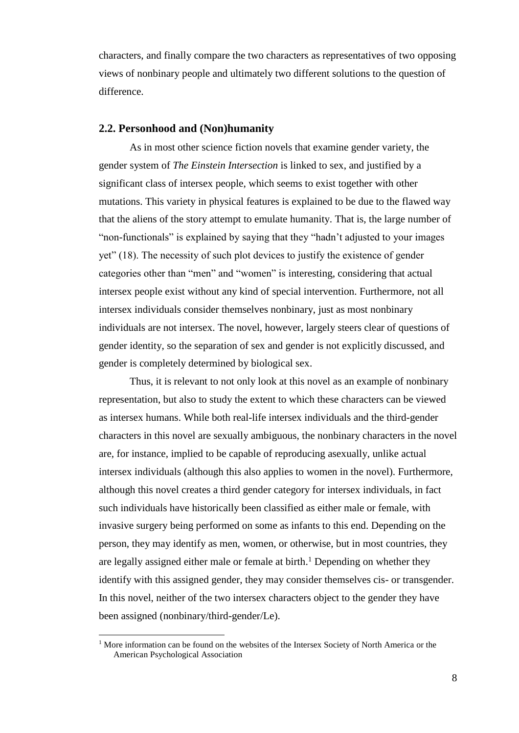characters, and finally compare the two characters as representatives of two opposing views of nonbinary people and ultimately two different solutions to the question of difference.

#### **2.2. Personhood and (Non)humanity**

As in most other science fiction novels that examine gender variety, the gender system of *The Einstein Intersection* is linked to sex, and justified by a significant class of intersex people, which seems to exist together with other mutations. This variety in physical features is explained to be due to the flawed way that the aliens of the story attempt to emulate humanity. That is, the large number of "non-functionals" is explained by saying that they "hadn't adjusted to your images yet" (18). The necessity of such plot devices to justify the existence of gender categories other than "men" and "women" is interesting, considering that actual intersex people exist without any kind of special intervention. Furthermore, not all intersex individuals consider themselves nonbinary, just as most nonbinary individuals are not intersex. The novel, however, largely steers clear of questions of gender identity, so the separation of sex and gender is not explicitly discussed, and gender is completely determined by biological sex.

Thus, it is relevant to not only look at this novel as an example of nonbinary representation, but also to study the extent to which these characters can be viewed as intersex humans. While both real-life intersex individuals and the third-gender characters in this novel are sexually ambiguous, the nonbinary characters in the novel are, for instance, implied to be capable of reproducing asexually, unlike actual intersex individuals (although this also applies to women in the novel). Furthermore, although this novel creates a third gender category for intersex individuals, in fact such individuals have historically been classified as either male or female, with invasive surgery being performed on some as infants to this end. Depending on the person, they may identify as men, women, or otherwise, but in most countries, they are legally assigned either male or female at birth. <sup>1</sup> Depending on whether they identify with this assigned gender, they may consider themselves cis- or transgender. In this novel, neither of the two intersex characters object to the gender they have been assigned (nonbinary/third-gender/Le).

l

 $1$  More information can be found on the websites of the Intersex Society of North America or the American Psychological Association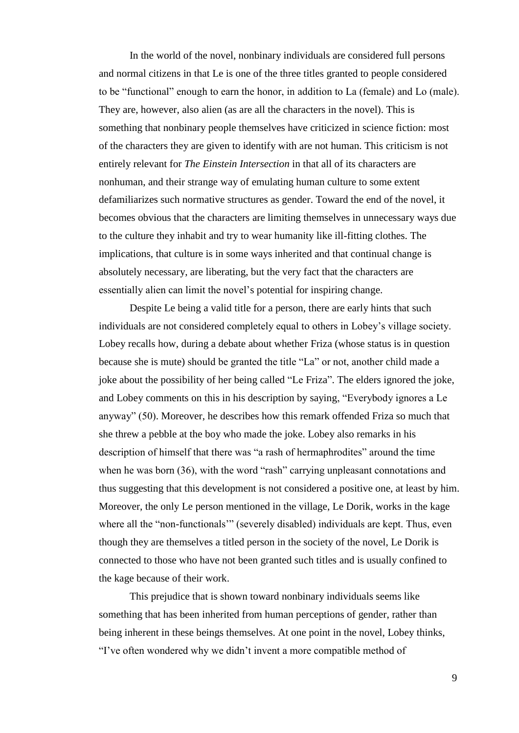In the world of the novel, nonbinary individuals are considered full persons and normal citizens in that Le is one of the three titles granted to people considered to be "functional" enough to earn the honor, in addition to La (female) and Lo (male). They are, however, also alien (as are all the characters in the novel). This is something that nonbinary people themselves have criticized in science fiction: most of the characters they are given to identify with are not human. This criticism is not entirely relevant for *The Einstein Intersection* in that all of its characters are nonhuman, and their strange way of emulating human culture to some extent defamiliarizes such normative structures as gender. Toward the end of the novel, it becomes obvious that the characters are limiting themselves in unnecessary ways due to the culture they inhabit and try to wear humanity like ill-fitting clothes. The implications, that culture is in some ways inherited and that continual change is absolutely necessary, are liberating, but the very fact that the characters are essentially alien can limit the novel's potential for inspiring change.

Despite Le being a valid title for a person, there are early hints that such individuals are not considered completely equal to others in Lobey's village society. Lobey recalls how, during a debate about whether Friza (whose status is in question because she is mute) should be granted the title "La" or not, another child made a joke about the possibility of her being called "Le Friza". The elders ignored the joke, and Lobey comments on this in his description by saying, "Everybody ignores a Le anyway" (50). Moreover, he describes how this remark offended Friza so much that she threw a pebble at the boy who made the joke. Lobey also remarks in his description of himself that there was "a rash of hermaphrodites" around the time when he was born (36), with the word "rash" carrying unpleasant connotations and thus suggesting that this development is not considered a positive one, at least by him. Moreover, the only Le person mentioned in the village, Le Dorik, works in the kage where all the "non-functionals" (severely disabled) individuals are kept. Thus, even though they are themselves a titled person in the society of the novel, Le Dorik is connected to those who have not been granted such titles and is usually confined to the kage because of their work.

This prejudice that is shown toward nonbinary individuals seems like something that has been inherited from human perceptions of gender, rather than being inherent in these beings themselves. At one point in the novel, Lobey thinks, "I've often wondered why we didn't invent a more compatible method of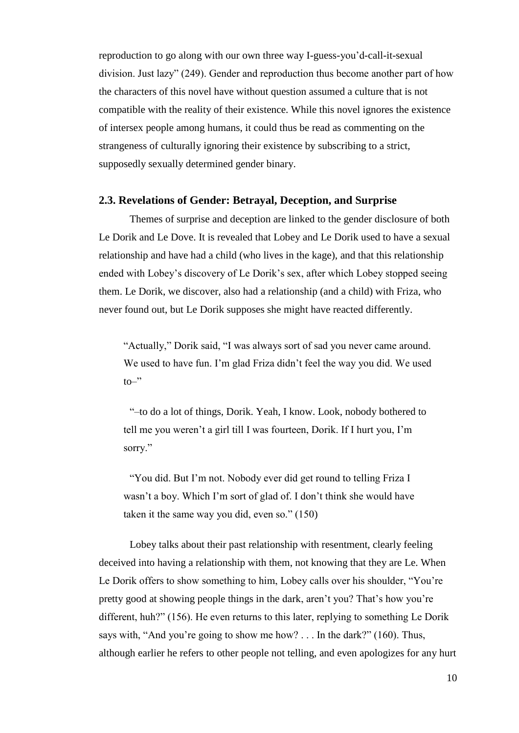reproduction to go along with our own three way I-guess-you'd-call-it-sexual division. Just lazy" (249). Gender and reproduction thus become another part of how the characters of this novel have without question assumed a culture that is not compatible with the reality of their existence. While this novel ignores the existence of intersex people among humans, it could thus be read as commenting on the strangeness of culturally ignoring their existence by subscribing to a strict, supposedly sexually determined gender binary.

#### **2.3. Revelations of Gender: Betrayal, Deception, and Surprise**

Themes of surprise and deception are linked to the gender disclosure of both Le Dorik and Le Dove. It is revealed that Lobey and Le Dorik used to have a sexual relationship and have had a child (who lives in the kage), and that this relationship ended with Lobey's discovery of Le Dorik's sex, after which Lobey stopped seeing them. Le Dorik, we discover, also had a relationship (and a child) with Friza, who never found out, but Le Dorik supposes she might have reacted differently.

"Actually," Dorik said, "I was always sort of sad you never came around. We used to have fun. I'm glad Friza didn't feel the way you did. We used  $\mathsf{to}\mathsf{--}"$ 

"–to do a lot of things, Dorik. Yeah, I know. Look, nobody bothered to tell me you weren't a girl till I was fourteen, Dorik. If I hurt you, I'm sorry."

"You did. But I'm not. Nobody ever did get round to telling Friza I wasn't a boy. Which I'm sort of glad of. I don't think she would have taken it the same way you did, even so." (150)

Lobey talks about their past relationship with resentment, clearly feeling deceived into having a relationship with them, not knowing that they are Le. When Le Dorik offers to show something to him, Lobey calls over his shoulder, "You're pretty good at showing people things in the dark, aren't you? That's how you're different, huh?" (156). He even returns to this later, replying to something Le Dorik says with, "And you're going to show me how? . . . In the dark?" (160). Thus, although earlier he refers to other people not telling, and even apologizes for any hurt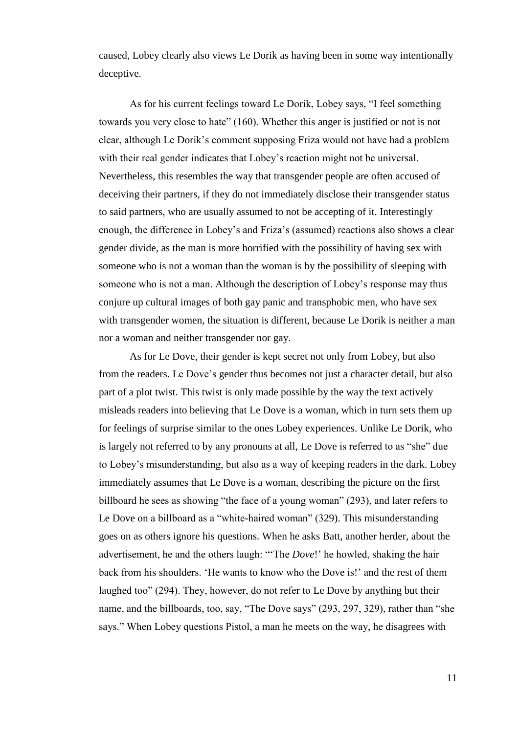caused, Lobey clearly also views Le Dorik as having been in some way intentionally deceptive.

As for his current feelings toward Le Dorik, Lobey says, "I feel something towards you very close to hate" (160). Whether this anger is justified or not is not clear, although Le Dorik's comment supposing Friza would not have had a problem with their real gender indicates that Lobey's reaction might not be universal. Nevertheless, this resembles the way that transgender people are often accused of deceiving their partners, if they do not immediately disclose their transgender status to said partners, who are usually assumed to not be accepting of it. Interestingly enough, the difference in Lobey's and Friza's (assumed) reactions also shows a clear gender divide, as the man is more horrified with the possibility of having sex with someone who is not a woman than the woman is by the possibility of sleeping with someone who is not a man. Although the description of Lobey's response may thus conjure up cultural images of both gay panic and transphobic men, who have sex with transgender women, the situation is different, because Le Dorik is neither a man nor a woman and neither transgender nor gay.

As for Le Dove, their gender is kept secret not only from Lobey, but also from the readers. Le Dove's gender thus becomes not just a character detail, but also part of a plot twist. This twist is only made possible by the way the text actively misleads readers into believing that Le Dove is a woman, which in turn sets them up for feelings of surprise similar to the ones Lobey experiences. Unlike Le Dorik, who is largely not referred to by any pronouns at all, Le Dove is referred to as "she" due to Lobey's misunderstanding, but also as a way of keeping readers in the dark. Lobey immediately assumes that Le Dove is a woman, describing the picture on the first billboard he sees as showing "the face of a young woman" (293), and later refers to Le Dove on a billboard as a "white-haired woman" (329). This misunderstanding goes on as others ignore his questions. When he asks Batt, another herder, about the advertisement, he and the others laugh: "'The *Dove*!' he howled, shaking the hair back from his shoulders. 'He wants to know who the Dove is!' and the rest of them laughed too" (294). They, however, do not refer to Le Dove by anything but their name, and the billboards, too, say, "The Dove says" (293, 297, 329), rather than "she says." When Lobey questions Pistol, a man he meets on the way, he disagrees with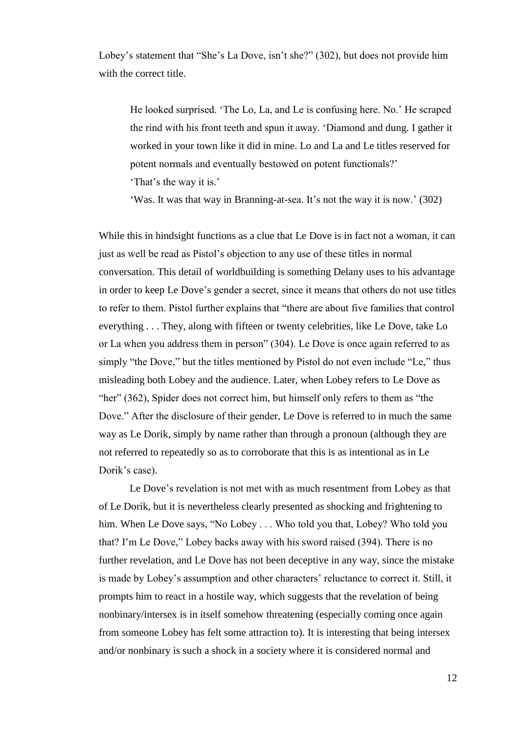Lobey's statement that "She's La Dove, isn't she?" (302), but does not provide him with the correct title.

He looked surprised. 'The Lo, La, and Le is confusing here. No.' He scraped the rind with his front teeth and spun it away. 'Diamond and dung. I gather it worked in your town like it did in mine. Lo and La and Le titles reserved for potent normals and eventually bestowed on potent functionals?'

'That's the way it is.'

'Was. It was that way in Branning-at-sea. It's not the way it is now.' (302)

While this in hindsight functions as a clue that Le Dove is in fact not a woman, it can just as well be read as Pistol's objection to any use of these titles in normal conversation. This detail of worldbuilding is something Delany uses to his advantage in order to keep Le Dove's gender a secret, since it means that others do not use titles to refer to them. Pistol further explains that "there are about five families that control everything . . . They, along with fifteen or twenty celebrities, like Le Dove, take Lo or La when you address them in person" (304). Le Dove is once again referred to as simply "the Dove," but the titles mentioned by Pistol do not even include "Le," thus misleading both Lobey and the audience. Later, when Lobey refers to Le Dove as "her" (362), Spider does not correct him, but himself only refers to them as "the Dove." After the disclosure of their gender, Le Dove is referred to in much the same way as Le Dorik, simply by name rather than through a pronoun (although they are not referred to repeatedly so as to corroborate that this is as intentional as in Le Dorik's case).

Le Dove's revelation is not met with as much resentment from Lobey as that of Le Dorik, but it is nevertheless clearly presented as shocking and frightening to him. When Le Dove says, "No Lobey . . . Who told you that, Lobey? Who told you that? I'm Le Dove," Lobey backs away with his sword raised (394). There is no further revelation, and Le Dove has not been deceptive in any way, since the mistake is made by Lobey's assumption and other characters' reluctance to correct it. Still, it prompts him to react in a hostile way, which suggests that the revelation of being nonbinary/intersex is in itself somehow threatening (especially coming once again from someone Lobey has felt some attraction to). It is interesting that being intersex and/or nonbinary is such a shock in a society where it is considered normal and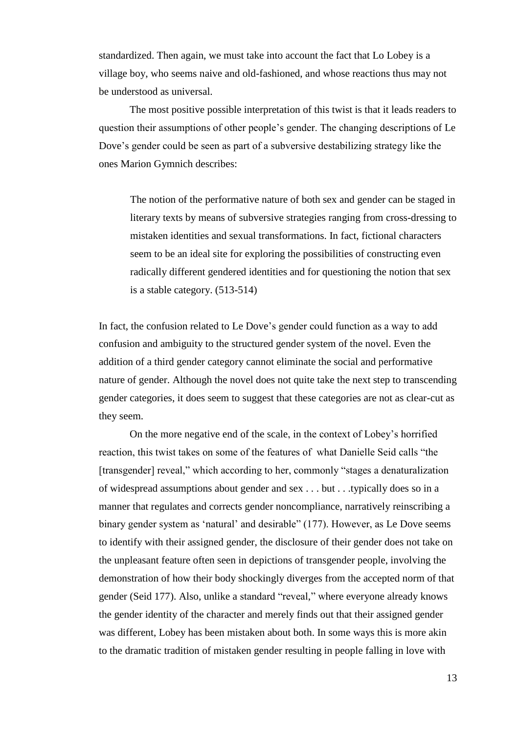standardized. Then again, we must take into account the fact that Lo Lobey is a village boy, who seems naive and old-fashioned, and whose reactions thus may not be understood as universal.

The most positive possible interpretation of this twist is that it leads readers to question their assumptions of other people's gender. The changing descriptions of Le Dove's gender could be seen as part of a subversive destabilizing strategy like the ones Marion Gymnich describes:

The notion of the performative nature of both sex and gender can be staged in literary texts by means of subversive strategies ranging from cross-dressing to mistaken identities and sexual transformations. In fact, fictional characters seem to be an ideal site for exploring the possibilities of constructing even radically different gendered identities and for questioning the notion that sex is a stable category. (513-514)

In fact, the confusion related to Le Dove's gender could function as a way to add confusion and ambiguity to the structured gender system of the novel. Even the addition of a third gender category cannot eliminate the social and performative nature of gender. Although the novel does not quite take the next step to transcending gender categories, it does seem to suggest that these categories are not as clear-cut as they seem.

On the more negative end of the scale, in the context of Lobey's horrified reaction, this twist takes on some of the features of what Danielle Seid calls "the [transgender] reveal," which according to her, commonly "stages a denaturalization of widespread assumptions about gender and sex . . . but . . .typically does so in a manner that regulates and corrects gender noncompliance, narratively reinscribing a binary gender system as 'natural' and desirable" (177). However, as Le Dove seems to identify with their assigned gender, the disclosure of their gender does not take on the unpleasant feature often seen in depictions of transgender people, involving the demonstration of how their body shockingly diverges from the accepted norm of that gender (Seid 177). Also, unlike a standard "reveal," where everyone already knows the gender identity of the character and merely finds out that their assigned gender was different, Lobey has been mistaken about both. In some ways this is more akin to the dramatic tradition of mistaken gender resulting in people falling in love with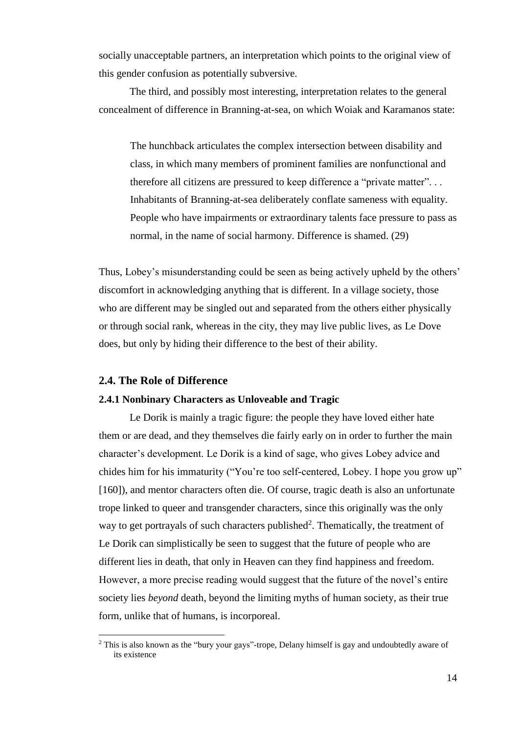socially unacceptable partners, an interpretation which points to the original view of this gender confusion as potentially subversive.

The third, and possibly most interesting, interpretation relates to the general concealment of difference in Branning-at-sea, on which Woiak and Karamanos state:

The hunchback articulates the complex intersection between disability and class, in which many members of prominent families are nonfunctional and therefore all citizens are pressured to keep difference a "private matter". . . Inhabitants of Branning-at-sea deliberately conflate sameness with equality. People who have impairments or extraordinary talents face pressure to pass as normal, in the name of social harmony. Difference is shamed. (29)

Thus, Lobey's misunderstanding could be seen as being actively upheld by the others' discomfort in acknowledging anything that is different. In a village society, those who are different may be singled out and separated from the others either physically or through social rank, whereas in the city, they may live public lives, as Le Dove does, but only by hiding their difference to the best of their ability.

#### **2.4. The Role of Difference**

l

#### **2.4.1 Nonbinary Characters as Unloveable and Tragic**

Le Dorik is mainly a tragic figure: the people they have loved either hate them or are dead, and they themselves die fairly early on in order to further the main character's development. Le Dorik is a kind of sage, who gives Lobey advice and chides him for his immaturity ("You're too self-centered, Lobey. I hope you grow up" [160]), and mentor characters often die. Of course, tragic death is also an unfortunate trope linked to queer and transgender characters, since this originally was the only way to get portrayals of such characters published<sup>2</sup>. Thematically, the treatment of Le Dorik can simplistically be seen to suggest that the future of people who are different lies in death, that only in Heaven can they find happiness and freedom. However, a more precise reading would suggest that the future of the novel's entire society lies *beyond* death, beyond the limiting myths of human society, as their true form, unlike that of humans, is incorporeal.

<sup>&</sup>lt;sup>2</sup> This is also known as the "bury your gays"-trope, Delany himself is gay and undoubtedly aware of its existence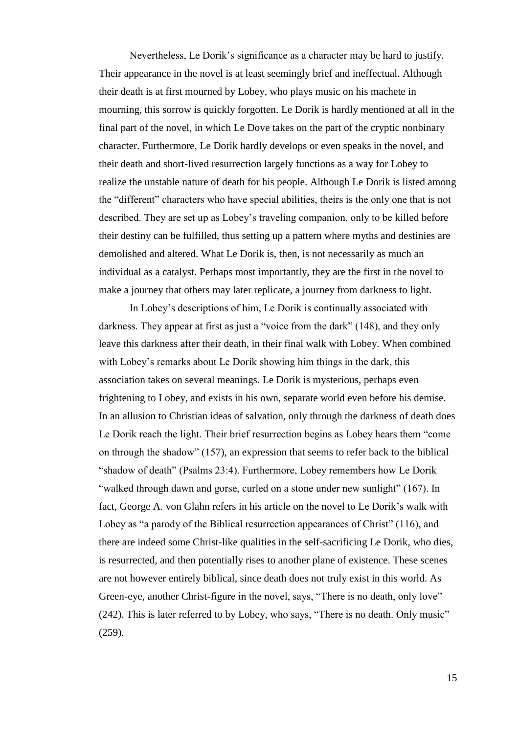Nevertheless, Le Dorik's significance as a character may be hard to justify. Their appearance in the novel is at least seemingly brief and ineffectual. Although their death is at first mourned by Lobey, who plays music on his machete in mourning, this sorrow is quickly forgotten. Le Dorik is hardly mentioned at all in the final part of the novel, in which Le Dove takes on the part of the cryptic nonbinary character. Furthermore, Le Dorik hardly develops or even speaks in the novel, and their death and short-lived resurrection largely functions as a way for Lobey to realize the unstable nature of death for his people. Although Le Dorik is listed among the "different" characters who have special abilities, theirs is the only one that is not described. They are set up as Lobey's traveling companion, only to be killed before their destiny can be fulfilled, thus setting up a pattern where myths and destinies are demolished and altered. What Le Dorik is, then, is not necessarily as much an individual as a catalyst. Perhaps most importantly, they are the first in the novel to make a journey that others may later replicate, a journey from darkness to light.

In Lobey's descriptions of him, Le Dorik is continually associated with darkness. They appear at first as just a "voice from the dark" (148), and they only leave this darkness after their death, in their final walk with Lobey. When combined with Lobey's remarks about Le Dorik showing him things in the dark, this association takes on several meanings. Le Dorik is mysterious, perhaps even frightening to Lobey, and exists in his own, separate world even before his demise. In an allusion to Christian ideas of salvation, only through the darkness of death does Le Dorik reach the light. Their brief resurrection begins as Lobey hears them "come on through the shadow" (157), an expression that seems to refer back to the biblical "shadow of death" (Psalms 23:4). Furthermore, Lobey remembers how Le Dorik "walked through dawn and gorse, curled on a stone under new sunlight" (167). In fact, George A. von Glahn refers in his article on the novel to Le Dorik's walk with Lobey as "a parody of the Biblical resurrection appearances of Christ" (116), and there are indeed some Christ-like qualities in the self-sacrificing Le Dorik, who dies, is resurrected, and then potentially rises to another plane of existence. These scenes are not however entirely biblical, since death does not truly exist in this world. As Green-eye, another Christ-figure in the novel, says, "There is no death, only love" (242). This is later referred to by Lobey, who says, "There is no death. Only music" (259).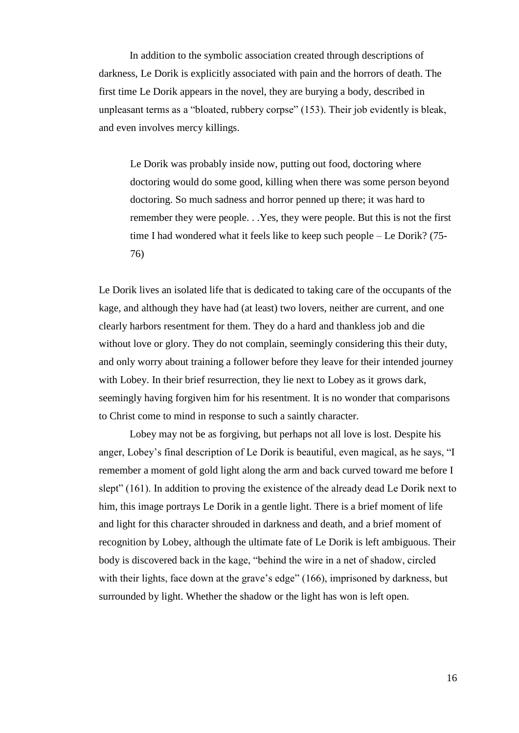In addition to the symbolic association created through descriptions of darkness, Le Dorik is explicitly associated with pain and the horrors of death. The first time Le Dorik appears in the novel, they are burying a body, described in unpleasant terms as a "bloated, rubbery corpse" (153). Their job evidently is bleak, and even involves mercy killings.

Le Dorik was probably inside now, putting out food, doctoring where doctoring would do some good, killing when there was some person beyond doctoring. So much sadness and horror penned up there; it was hard to remember they were people. . .Yes, they were people. But this is not the first time I had wondered what it feels like to keep such people – Le Dorik? (75- 76)

Le Dorik lives an isolated life that is dedicated to taking care of the occupants of the kage, and although they have had (at least) two lovers, neither are current, and one clearly harbors resentment for them. They do a hard and thankless job and die without love or glory. They do not complain, seemingly considering this their duty, and only worry about training a follower before they leave for their intended journey with Lobey. In their brief resurrection, they lie next to Lobey as it grows dark, seemingly having forgiven him for his resentment. It is no wonder that comparisons to Christ come to mind in response to such a saintly character.

Lobey may not be as forgiving, but perhaps not all love is lost. Despite his anger, Lobey's final description of Le Dorik is beautiful, even magical, as he says, "I remember a moment of gold light along the arm and back curved toward me before I slept" (161). In addition to proving the existence of the already dead Le Dorik next to him, this image portrays Le Dorik in a gentle light. There is a brief moment of life and light for this character shrouded in darkness and death, and a brief moment of recognition by Lobey, although the ultimate fate of Le Dorik is left ambiguous. Their body is discovered back in the kage, "behind the wire in a net of shadow, circled with their lights, face down at the grave's edge" (166), imprisoned by darkness, but surrounded by light. Whether the shadow or the light has won is left open.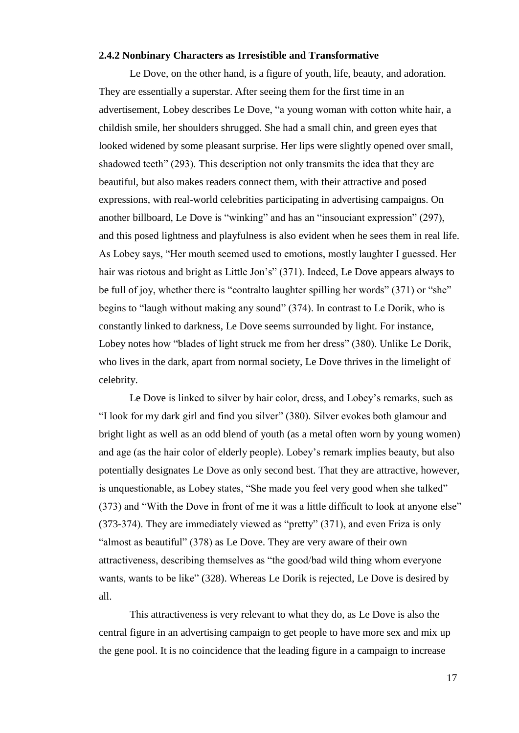#### **2.4.2 Nonbinary Characters as Irresistible and Transformative**

Le Dove, on the other hand, is a figure of youth, life, beauty, and adoration. They are essentially a superstar. After seeing them for the first time in an advertisement, Lobey describes Le Dove, "a young woman with cotton white hair, a childish smile, her shoulders shrugged. She had a small chin, and green eyes that looked widened by some pleasant surprise. Her lips were slightly opened over small, shadowed teeth" (293). This description not only transmits the idea that they are beautiful, but also makes readers connect them, with their attractive and posed expressions, with real-world celebrities participating in advertising campaigns. On another billboard, Le Dove is "winking" and has an "insouciant expression" (297), and this posed lightness and playfulness is also evident when he sees them in real life. As Lobey says, "Her mouth seemed used to emotions, mostly laughter I guessed. Her hair was riotous and bright as Little Jon's" (371). Indeed, Le Dove appears always to be full of joy, whether there is "contralto laughter spilling her words" (371) or "she" begins to "laugh without making any sound" (374). In contrast to Le Dorik, who is constantly linked to darkness, Le Dove seems surrounded by light. For instance, Lobey notes how "blades of light struck me from her dress" (380). Unlike Le Dorik, who lives in the dark, apart from normal society, Le Dove thrives in the limelight of celebrity.

Le Dove is linked to silver by hair color, dress, and Lobey's remarks, such as "I look for my dark girl and find you silver" (380). Silver evokes both glamour and bright light as well as an odd blend of youth (as a metal often worn by young women) and age (as the hair color of elderly people). Lobey's remark implies beauty, but also potentially designates Le Dove as only second best. That they are attractive, however, is unquestionable, as Lobey states, "She made you feel very good when she talked" (373) and "With the Dove in front of me it was a little difficult to look at anyone else" (373-374). They are immediately viewed as "pretty" (371), and even Friza is only "almost as beautiful" (378) as Le Dove. They are very aware of their own attractiveness, describing themselves as "the good/bad wild thing whom everyone wants, wants to be like" (328). Whereas Le Dorik is rejected, Le Dove is desired by all.

This attractiveness is very relevant to what they do, as Le Dove is also the central figure in an advertising campaign to get people to have more sex and mix up the gene pool. It is no coincidence that the leading figure in a campaign to increase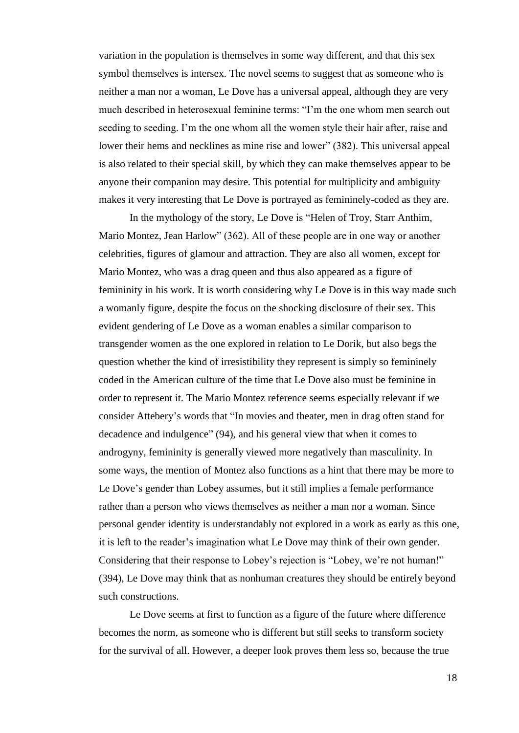variation in the population is themselves in some way different, and that this sex symbol themselves is intersex. The novel seems to suggest that as someone who is neither a man nor a woman, Le Dove has a universal appeal, although they are very much described in heterosexual feminine terms: "I'm the one whom men search out seeding to seeding. I'm the one whom all the women style their hair after, raise and lower their hems and necklines as mine rise and lower" (382). This universal appeal is also related to their special skill, by which they can make themselves appear to be anyone their companion may desire. This potential for multiplicity and ambiguity makes it very interesting that Le Dove is portrayed as femininely-coded as they are.

In the mythology of the story, Le Dove is "Helen of Troy, Starr Anthim, Mario Montez, Jean Harlow" (362). All of these people are in one way or another celebrities, figures of glamour and attraction. They are also all women, except for Mario Montez, who was a drag queen and thus also appeared as a figure of femininity in his work. It is worth considering why Le Dove is in this way made such a womanly figure, despite the focus on the shocking disclosure of their sex. This evident gendering of Le Dove as a woman enables a similar comparison to transgender women as the one explored in relation to Le Dorik, but also begs the question whether the kind of irresistibility they represent is simply so femininely coded in the American culture of the time that Le Dove also must be feminine in order to represent it. The Mario Montez reference seems especially relevant if we consider Attebery's words that "In movies and theater, men in drag often stand for decadence and indulgence" (94), and his general view that when it comes to androgyny, femininity is generally viewed more negatively than masculinity. In some ways, the mention of Montez also functions as a hint that there may be more to Le Dove's gender than Lobey assumes, but it still implies a female performance rather than a person who views themselves as neither a man nor a woman. Since personal gender identity is understandably not explored in a work as early as this one, it is left to the reader's imagination what Le Dove may think of their own gender. Considering that their response to Lobey's rejection is "Lobey, we're not human!" (394), Le Dove may think that as nonhuman creatures they should be entirely beyond such constructions.

Le Dove seems at first to function as a figure of the future where difference becomes the norm, as someone who is different but still seeks to transform society for the survival of all. However, a deeper look proves them less so, because the true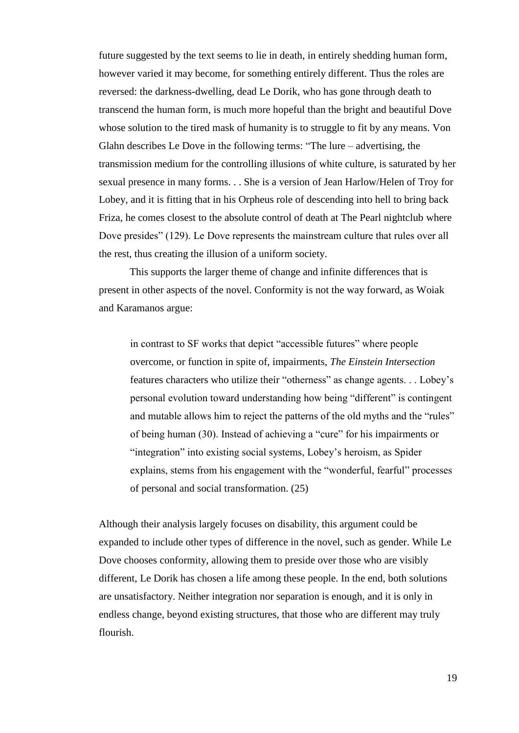future suggested by the text seems to lie in death, in entirely shedding human form, however varied it may become, for something entirely different. Thus the roles are reversed: the darkness-dwelling, dead Le Dorik, who has gone through death to transcend the human form, is much more hopeful than the bright and beautiful Dove whose solution to the tired mask of humanity is to struggle to fit by any means. Von Glahn describes Le Dove in the following terms: "The lure – advertising, the transmission medium for the controlling illusions of white culture, is saturated by her sexual presence in many forms. . . She is a version of Jean Harlow/Helen of Troy for Lobey, and it is fitting that in his Orpheus role of descending into hell to bring back Friza, he comes closest to the absolute control of death at The Pearl nightclub where Dove presides" (129). Le Dove represents the mainstream culture that rules over all the rest, thus creating the illusion of a uniform society.

This supports the larger theme of change and infinite differences that is present in other aspects of the novel. Conformity is not the way forward, as Woiak and Karamanos argue:

in contrast to SF works that depict "accessible futures" where people overcome, or function in spite of, impairments, *The Einstein Intersection* features characters who utilize their "otherness" as change agents. . . Lobey's personal evolution toward understanding how being "different" is contingent and mutable allows him to reject the patterns of the old myths and the "rules" of being human (30). Instead of achieving a "cure" for his impairments or "integration" into existing social systems, Lobey's heroism, as Spider explains, stems from his engagement with the "wonderful, fearful" processes of personal and social transformation. (25)

Although their analysis largely focuses on disability, this argument could be expanded to include other types of difference in the novel, such as gender. While Le Dove chooses conformity, allowing them to preside over those who are visibly different, Le Dorik has chosen a life among these people. In the end, both solutions are unsatisfactory. Neither integration nor separation is enough, and it is only in endless change, beyond existing structures, that those who are different may truly flourish.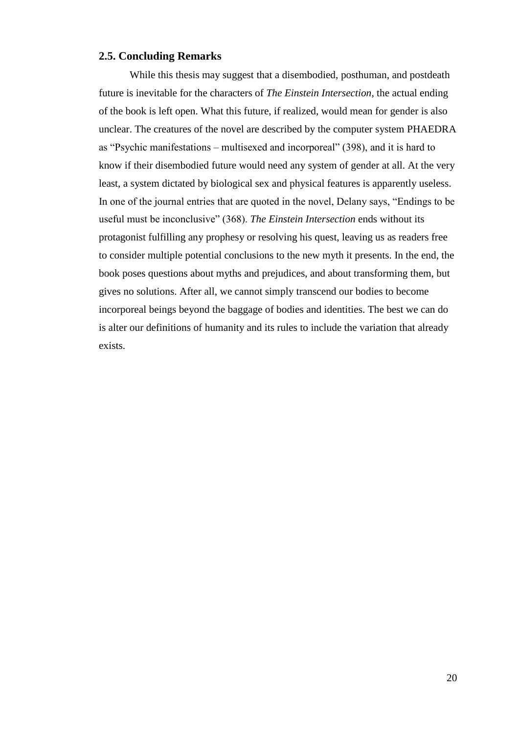#### **2.5. Concluding Remarks**

While this thesis may suggest that a disembodied, posthuman, and postdeath future is inevitable for the characters of *The Einstein Intersection*, the actual ending of the book is left open. What this future, if realized, would mean for gender is also unclear. The creatures of the novel are described by the computer system PHAEDRA as "Psychic manifestations – multisexed and incorporeal" (398), and it is hard to know if their disembodied future would need any system of gender at all. At the very least, a system dictated by biological sex and physical features is apparently useless. In one of the journal entries that are quoted in the novel, Delany says, "Endings to be useful must be inconclusive" (368). *The Einstein Intersection* ends without its protagonist fulfilling any prophesy or resolving his quest, leaving us as readers free to consider multiple potential conclusions to the new myth it presents. In the end, the book poses questions about myths and prejudices, and about transforming them, but gives no solutions. After all, we cannot simply transcend our bodies to become incorporeal beings beyond the baggage of bodies and identities. The best we can do is alter our definitions of humanity and its rules to include the variation that already exists.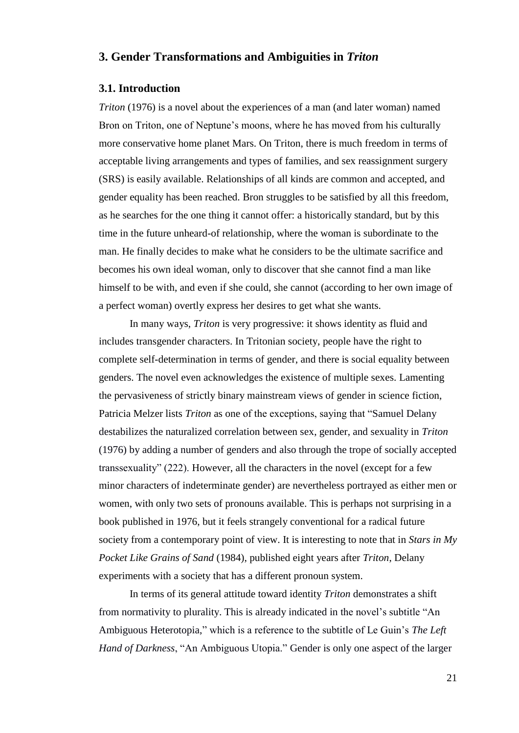## **3. Gender Transformations and Ambiguities in** *Triton*

#### **3.1. Introduction**

*Triton* (1976) is a novel about the experiences of a man (and later woman) named Bron on Triton, one of Neptune's moons, where he has moved from his culturally more conservative home planet Mars. On Triton, there is much freedom in terms of acceptable living arrangements and types of families, and sex reassignment surgery (SRS) is easily available. Relationships of all kinds are common and accepted, and gender equality has been reached. Bron struggles to be satisfied by all this freedom, as he searches for the one thing it cannot offer: a historically standard, but by this time in the future unheard-of relationship, where the woman is subordinate to the man. He finally decides to make what he considers to be the ultimate sacrifice and becomes his own ideal woman, only to discover that she cannot find a man like himself to be with, and even if she could, she cannot (according to her own image of a perfect woman) overtly express her desires to get what she wants.

In many ways, *Triton* is very progressive: it shows identity as fluid and includes transgender characters. In Tritonian society, people have the right to complete self-determination in terms of gender, and there is social equality between genders. The novel even acknowledges the existence of multiple sexes. Lamenting the pervasiveness of strictly binary mainstream views of gender in science fiction, Patricia Melzer lists *Triton* as one of the exceptions, saying that "Samuel Delany destabilizes the naturalized correlation between sex, gender, and sexuality in *Triton* (1976) by adding a number of genders and also through the trope of socially accepted transsexuality" (222). However, all the characters in the novel (except for a few minor characters of indeterminate gender) are nevertheless portrayed as either men or women, with only two sets of pronouns available. This is perhaps not surprising in a book published in 1976, but it feels strangely conventional for a radical future society from a contemporary point of view. It is interesting to note that in *Stars in My Pocket Like Grains of Sand* (1984), published eight years after *Triton*, Delany experiments with a society that has a different pronoun system.

In terms of its general attitude toward identity *Triton* demonstrates a shift from normativity to plurality. This is already indicated in the novel's subtitle "An Ambiguous Heterotopia," which is a reference to the subtitle of Le Guin's *The Left Hand of Darkness*, "An Ambiguous Utopia." Gender is only one aspect of the larger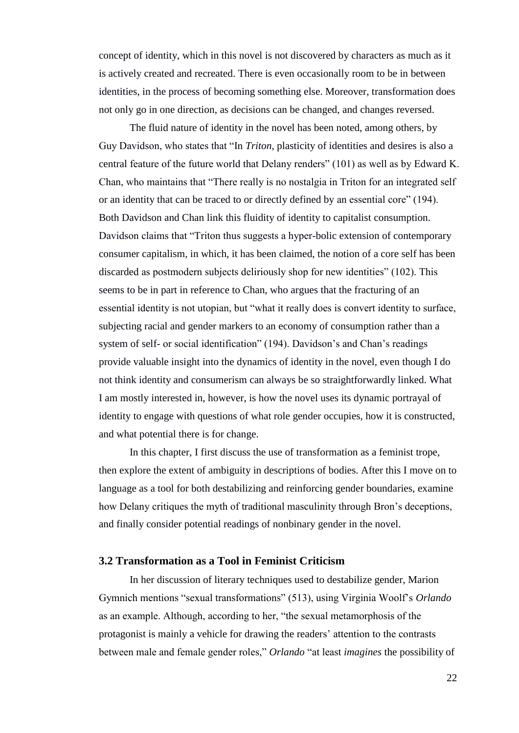concept of identity, which in this novel is not discovered by characters as much as it is actively created and recreated. There is even occasionally room to be in between identities, in the process of becoming something else. Moreover, transformation does not only go in one direction, as decisions can be changed, and changes reversed.

The fluid nature of identity in the novel has been noted, among others, by Guy Davidson, who states that "In *Triton*, plasticity of identities and desires is also a central feature of the future world that Delany renders" (101) as well as by Edward K. Chan, who maintains that "There really is no nostalgia in Triton for an integrated self or an identity that can be traced to or directly defined by an essential core" (194). Both Davidson and Chan link this fluidity of identity to capitalist consumption. Davidson claims that "Triton thus suggests a hyper-bolic extension of contemporary consumer capitalism, in which, it has been claimed, the notion of a core self has been discarded as postmodern subjects deliriously shop for new identities" (102). This seems to be in part in reference to Chan, who argues that the fracturing of an essential identity is not utopian, but "what it really does is convert identity to surface, subjecting racial and gender markers to an economy of consumption rather than a system of self- or social identification" (194). Davidson's and Chan's readings provide valuable insight into the dynamics of identity in the novel, even though I do not think identity and consumerism can always be so straightforwardly linked. What I am mostly interested in, however, is how the novel uses its dynamic portrayal of identity to engage with questions of what role gender occupies, how it is constructed, and what potential there is for change.

In this chapter, I first discuss the use of transformation as a feminist trope, then explore the extent of ambiguity in descriptions of bodies. After this I move on to language as a tool for both destabilizing and reinforcing gender boundaries, examine how Delany critiques the myth of traditional masculinity through Bron's deceptions, and finally consider potential readings of nonbinary gender in the novel.

#### **3.2 Transformation as a Tool in Feminist Criticism**

In her discussion of literary techniques used to destabilize gender, Marion Gymnich mentions "sexual transformations" (513), using Virginia Woolf's *Orlando* as an example. Although, according to her, "the sexual metamorphosis of the protagonist is mainly a vehicle for drawing the readers' attention to the contrasts between male and female gender roles," *Orlando* "at least *imagines* the possibility of

22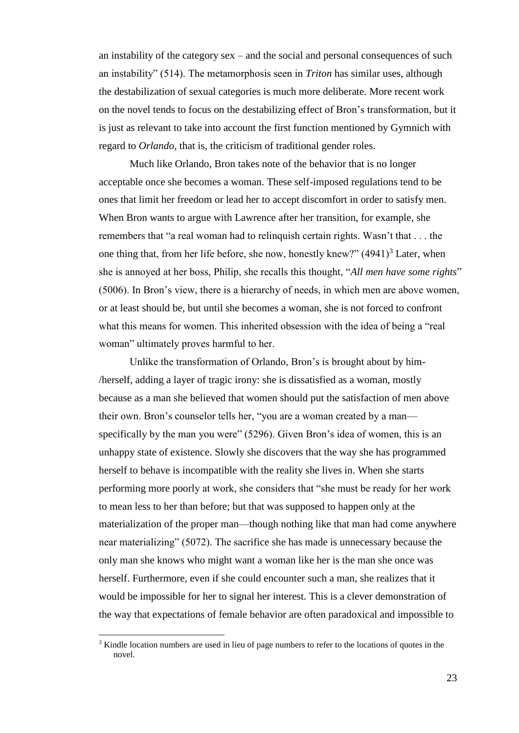an instability of the category sex – and the social and personal consequences of such an instability" (514). The metamorphosis seen in *Triton* has similar uses, although the destabilization of sexual categories is much more deliberate. More recent work on the novel tends to focus on the destabilizing effect of Bron's transformation, but it is just as relevant to take into account the first function mentioned by Gymnich with regard to *Orlando*, that is, the criticism of traditional gender roles.

Much like Orlando, Bron takes note of the behavior that is no longer acceptable once she becomes a woman. These self-imposed regulations tend to be ones that limit her freedom or lead her to accept discomfort in order to satisfy men. When Bron wants to argue with Lawrence after her transition, for example, she remembers that "a real woman had to relinquish certain rights. Wasn't that . . . the one thing that, from her life before, she now, honestly knew?"  $(4941)^3$  Later, when she is annoyed at her boss, Philip, she recalls this thought, "*All men have some rights*" (5006). In Bron's view, there is a hierarchy of needs, in which men are above women, or at least should be, but until she becomes a woman, she is not forced to confront what this means for women. This inherited obsession with the idea of being a "real woman" ultimately proves harmful to her.

Unlike the transformation of Orlando, Bron's is brought about by him- /herself, adding a layer of tragic irony: she is dissatisfied as a woman, mostly because as a man she believed that women should put the satisfaction of men above their own. Bron's counselor tells her, "you are a woman created by a man specifically by the man you were" (5296). Given Bron's idea of women, this is an unhappy state of existence. Slowly she discovers that the way she has programmed herself to behave is incompatible with the reality she lives in. When she starts performing more poorly at work, she considers that "she must be ready for her work to mean less to her than before; but that was supposed to happen only at the materialization of the proper man—though nothing like that man had come anywhere near materializing" (5072). The sacrifice she has made is unnecessary because the only man she knows who might want a woman like her is the man she once was herself. Furthermore, even if she could encounter such a man, she realizes that it would be impossible for her to signal her interest. This is a clever demonstration of the way that expectations of female behavior are often paradoxical and impossible to

l

 $3$  Kindle location numbers are used in lieu of page numbers to refer to the locations of quotes in the novel.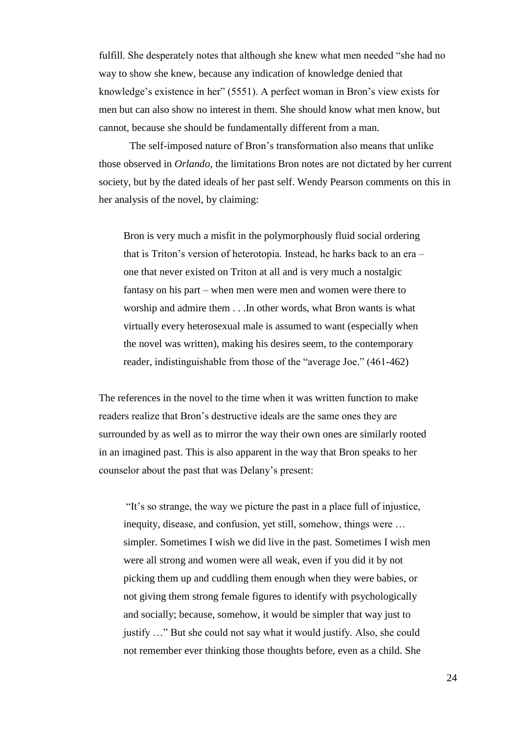fulfill. She desperately notes that although she knew what men needed "she had no way to show she knew, because any indication of knowledge denied that knowledge's existence in her" (5551). A perfect woman in Bron's view exists for men but can also show no interest in them. She should know what men know, but cannot, because she should be fundamentally different from a man.

The self-imposed nature of Bron's transformation also means that unlike those observed in *Orlando*, the limitations Bron notes are not dictated by her current society, but by the dated ideals of her past self. Wendy Pearson comments on this in her analysis of the novel, by claiming:

Bron is very much a misfit in the polymorphously fluid social ordering that is Triton's version of heterotopia. Instead, he harks back to an era – one that never existed on Triton at all and is very much a nostalgic fantasy on his part – when men were men and women were there to worship and admire them . . .In other words, what Bron wants is what virtually every heterosexual male is assumed to want (especially when the novel was written), making his desires seem, to the contemporary reader, indistinguishable from those of the "average Joe." (461-462)

The references in the novel to the time when it was written function to make readers realize that Bron's destructive ideals are the same ones they are surrounded by as well as to mirror the way their own ones are similarly rooted in an imagined past. This is also apparent in the way that Bron speaks to her counselor about the past that was Delany's present:

"It's so strange, the way we picture the past in a place full of injustice, inequity, disease, and confusion, yet still, somehow, things were … simpler. Sometimes I wish we did live in the past. Sometimes I wish men were all strong and women were all weak, even if you did it by not picking them up and cuddling them enough when they were babies, or not giving them strong female figures to identify with psychologically and socially; because, somehow, it would be simpler that way just to justify …" But she could not say what it would justify. Also, she could not remember ever thinking those thoughts before, even as a child. She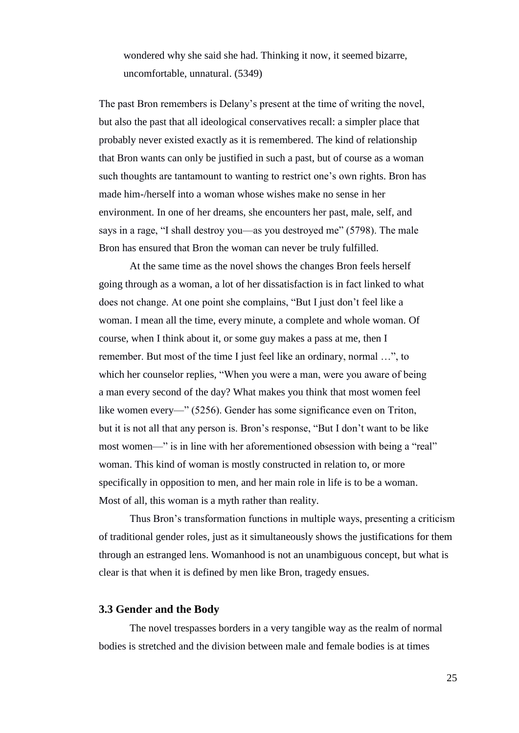wondered why she said she had. Thinking it now, it seemed bizarre, uncomfortable, unnatural. (5349)

The past Bron remembers is Delany's present at the time of writing the novel, but also the past that all ideological conservatives recall: a simpler place that probably never existed exactly as it is remembered. The kind of relationship that Bron wants can only be justified in such a past, but of course as a woman such thoughts are tantamount to wanting to restrict one's own rights. Bron has made him-/herself into a woman whose wishes make no sense in her environment. In one of her dreams, she encounters her past, male, self, and says in a rage, "I shall destroy you—as you destroyed me" (5798). The male Bron has ensured that Bron the woman can never be truly fulfilled.

At the same time as the novel shows the changes Bron feels herself going through as a woman, a lot of her dissatisfaction is in fact linked to what does not change. At one point she complains, "But I just don't feel like a woman. I mean all the time, every minute, a complete and whole woman. Of course, when I think about it, or some guy makes a pass at me, then I remember. But most of the time I just feel like an ordinary, normal …", to which her counselor replies, "When you were a man, were you aware of being a man every second of the day? What makes you think that most women feel like women every—" (5256). Gender has some significance even on Triton, but it is not all that any person is. Bron's response, "But I don't want to be like most women—" is in line with her aforementioned obsession with being a "real" woman. This kind of woman is mostly constructed in relation to, or more specifically in opposition to men, and her main role in life is to be a woman. Most of all, this woman is a myth rather than reality.

Thus Bron's transformation functions in multiple ways, presenting a criticism of traditional gender roles, just as it simultaneously shows the justifications for them through an estranged lens. Womanhood is not an unambiguous concept, but what is clear is that when it is defined by men like Bron, tragedy ensues.

#### **3.3 Gender and the Body**

The novel trespasses borders in a very tangible way as the realm of normal bodies is stretched and the division between male and female bodies is at times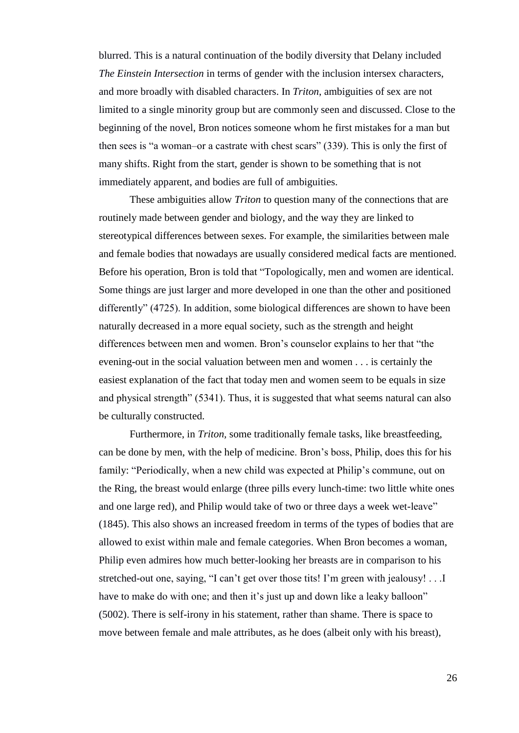blurred. This is a natural continuation of the bodily diversity that Delany included *The Einstein Intersection* in terms of gender with the inclusion intersex characters, and more broadly with disabled characters. In *Triton*, ambiguities of sex are not limited to a single minority group but are commonly seen and discussed. Close to the beginning of the novel, Bron notices someone whom he first mistakes for a man but then sees is "a woman–or a castrate with chest scars" (339). This is only the first of many shifts. Right from the start, gender is shown to be something that is not immediately apparent, and bodies are full of ambiguities.

These ambiguities allow *Triton* to question many of the connections that are routinely made between gender and biology, and the way they are linked to stereotypical differences between sexes. For example, the similarities between male and female bodies that nowadays are usually considered medical facts are mentioned. Before his operation, Bron is told that "Topologically, men and women are identical. Some things are just larger and more developed in one than the other and positioned differently" (4725). In addition, some biological differences are shown to have been naturally decreased in a more equal society, such as the strength and height differences between men and women. Bron's counselor explains to her that "the evening-out in the social valuation between men and women . . . is certainly the easiest explanation of the fact that today men and women seem to be equals in size and physical strength" (5341). Thus, it is suggested that what seems natural can also be culturally constructed.

Furthermore, in *Triton,* some traditionally female tasks, like breastfeeding, can be done by men, with the help of medicine. Bron's boss, Philip, does this for his family: "Periodically, when a new child was expected at Philip's commune, out on the Ring, the breast would enlarge (three pills every lunch-time: two little white ones and one large red), and Philip would take of two or three days a week wet-leave" (1845). This also shows an increased freedom in terms of the types of bodies that are allowed to exist within male and female categories. When Bron becomes a woman, Philip even admires how much better-looking her breasts are in comparison to his stretched-out one, saying, "I can't get over those tits! I'm green with jealousy! . . .I have to make do with one; and then it's just up and down like a leaky balloon" (5002). There is self-irony in his statement, rather than shame. There is space to move between female and male attributes, as he does (albeit only with his breast),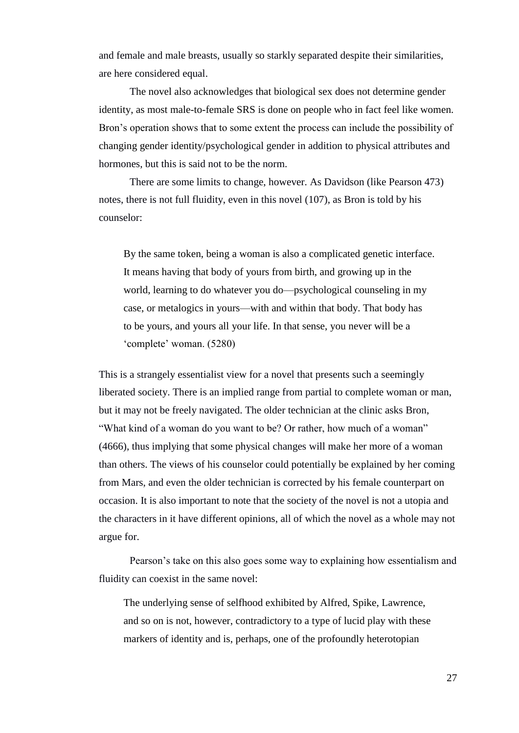and female and male breasts, usually so starkly separated despite their similarities, are here considered equal.

The novel also acknowledges that biological sex does not determine gender identity, as most male-to-female SRS is done on people who in fact feel like women. Bron's operation shows that to some extent the process can include the possibility of changing gender identity/psychological gender in addition to physical attributes and hormones, but this is said not to be the norm.

There are some limits to change, however. As Davidson (like Pearson 473) notes, there is not full fluidity, even in this novel (107), as Bron is told by his counselor:

By the same token, being a woman is also a complicated genetic interface. It means having that body of yours from birth, and growing up in the world, learning to do whatever you do—psychological counseling in my case, or metalogics in yours—with and within that body. That body has to be yours, and yours all your life. In that sense, you never will be a 'complete' woman. (5280)

This is a strangely essentialist view for a novel that presents such a seemingly liberated society. There is an implied range from partial to complete woman or man, but it may not be freely navigated. The older technician at the clinic asks Bron, "What kind of a woman do you want to be? Or rather, how much of a woman" (4666), thus implying that some physical changes will make her more of a woman than others. The views of his counselor could potentially be explained by her coming from Mars, and even the older technician is corrected by his female counterpart on occasion. It is also important to note that the society of the novel is not a utopia and the characters in it have different opinions, all of which the novel as a whole may not argue for.

Pearson's take on this also goes some way to explaining how essentialism and fluidity can coexist in the same novel:

The underlying sense of selfhood exhibited by Alfred, Spike, Lawrence, and so on is not, however, contradictory to a type of lucid play with these markers of identity and is, perhaps, one of the profoundly heterotopian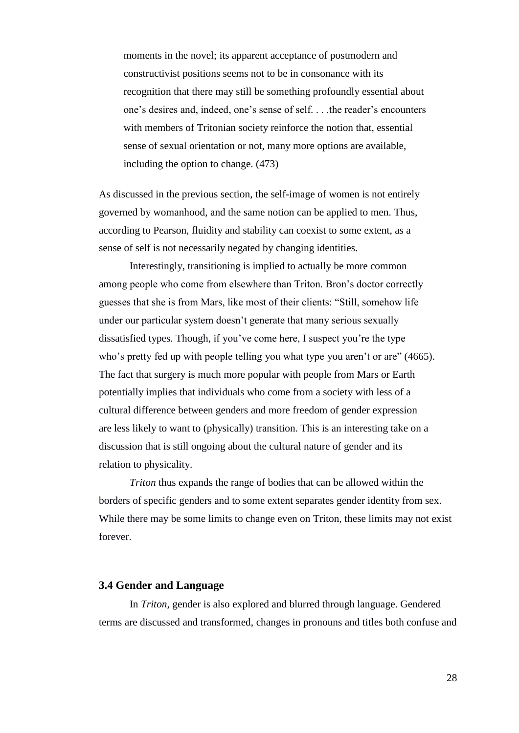moments in the novel; its apparent acceptance of postmodern and constructivist positions seems not to be in consonance with its recognition that there may still be something profoundly essential about one's desires and, indeed, one's sense of self. . . .the reader's encounters with members of Tritonian society reinforce the notion that, essential sense of sexual orientation or not, many more options are available, including the option to change. (473)

As discussed in the previous section, the self-image of women is not entirely governed by womanhood, and the same notion can be applied to men. Thus, according to Pearson, fluidity and stability can coexist to some extent, as a sense of self is not necessarily negated by changing identities.

Interestingly, transitioning is implied to actually be more common among people who come from elsewhere than Triton. Bron's doctor correctly guesses that she is from Mars, like most of their clients: "Still, somehow life under our particular system doesn't generate that many serious sexually dissatisfied types. Though, if you've come here, I suspect you're the type who's pretty fed up with people telling you what type you aren't or are" (4665). The fact that surgery is much more popular with people from Mars or Earth potentially implies that individuals who come from a society with less of a cultural difference between genders and more freedom of gender expression are less likely to want to (physically) transition. This is an interesting take on a discussion that is still ongoing about the cultural nature of gender and its relation to physicality.

*Triton* thus expands the range of bodies that can be allowed within the borders of specific genders and to some extent separates gender identity from sex. While there may be some limits to change even on Triton, these limits may not exist forever.

### **3.4 Gender and Language**

In *Triton*, gender is also explored and blurred through language. Gendered terms are discussed and transformed, changes in pronouns and titles both confuse and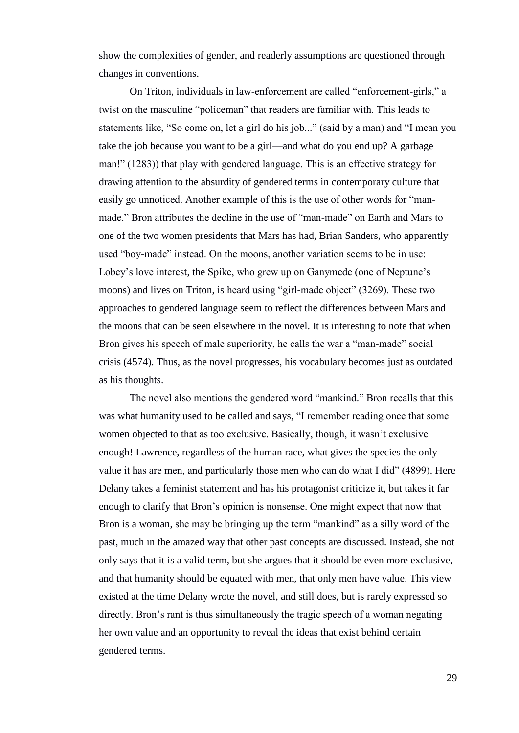show the complexities of gender, and readerly assumptions are questioned through changes in conventions.

On Triton, individuals in law-enforcement are called "enforcement-girls," a twist on the masculine "policeman" that readers are familiar with. This leads to statements like, "So come on, let a girl do his job..." (said by a man) and "I mean you take the job because you want to be a girl—and what do you end up? A garbage man!" (1283)) that play with gendered language. This is an effective strategy for drawing attention to the absurdity of gendered terms in contemporary culture that easily go unnoticed. Another example of this is the use of other words for "manmade." Bron attributes the decline in the use of "man-made" on Earth and Mars to one of the two women presidents that Mars has had, Brian Sanders, who apparently used "boy-made" instead. On the moons, another variation seems to be in use: Lobey's love interest, the Spike, who grew up on Ganymede (one of Neptune's moons) and lives on Triton, is heard using "girl-made object" (3269). These two approaches to gendered language seem to reflect the differences between Mars and the moons that can be seen elsewhere in the novel. It is interesting to note that when Bron gives his speech of male superiority, he calls the war a "man-made" social crisis (4574). Thus, as the novel progresses, his vocabulary becomes just as outdated as his thoughts.

The novel also mentions the gendered word "mankind." Bron recalls that this was what humanity used to be called and says, "I remember reading once that some women objected to that as too exclusive. Basically, though, it wasn't exclusive enough! Lawrence, regardless of the human race, what gives the species the only value it has are men, and particularly those men who can do what I did" (4899). Here Delany takes a feminist statement and has his protagonist criticize it, but takes it far enough to clarify that Bron's opinion is nonsense. One might expect that now that Bron is a woman, she may be bringing up the term "mankind" as a silly word of the past, much in the amazed way that other past concepts are discussed. Instead, she not only says that it is a valid term, but she argues that it should be even more exclusive, and that humanity should be equated with men, that only men have value. This view existed at the time Delany wrote the novel, and still does, but is rarely expressed so directly. Bron's rant is thus simultaneously the tragic speech of a woman negating her own value and an opportunity to reveal the ideas that exist behind certain gendered terms.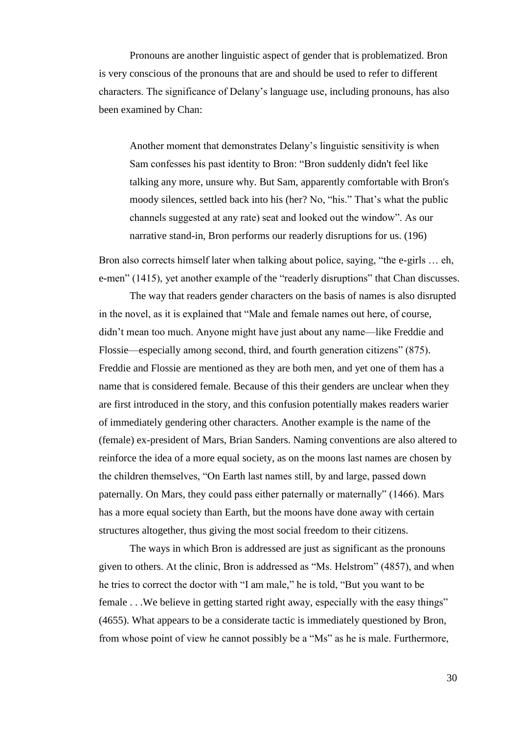Pronouns are another linguistic aspect of gender that is problematized. Bron is very conscious of the pronouns that are and should be used to refer to different characters. The significance of Delany's language use, including pronouns, has also been examined by Chan:

Another moment that demonstrates Delany's linguistic sensitivity is when Sam confesses his past identity to Bron: "Bron suddenly didn't feel like talking any more, unsure why. But Sam, apparently comfortable with Bron's moody silences, settled back into his (her? No, "his." That's what the public channels suggested at any rate) seat and looked out the window". As our narrative stand-in, Bron performs our readerly disruptions for us. (196)

Bron also corrects himself later when talking about police, saying, "the e-girls … eh, e-men" (1415), yet another example of the "readerly disruptions" that Chan discusses.

The way that readers gender characters on the basis of names is also disrupted in the novel, as it is explained that "Male and female names out here, of course, didn't mean too much. Anyone might have just about any name—like Freddie and Flossie—especially among second, third, and fourth generation citizens" (875). Freddie and Flossie are mentioned as they are both men, and yet one of them has a name that is considered female. Because of this their genders are unclear when they are first introduced in the story, and this confusion potentially makes readers warier of immediately gendering other characters. Another example is the name of the (female) ex-president of Mars, Brian Sanders. Naming conventions are also altered to reinforce the idea of a more equal society, as on the moons last names are chosen by the children themselves, "On Earth last names still, by and large, passed down paternally. On Mars, they could pass either paternally or maternally" (1466). Mars has a more equal society than Earth, but the moons have done away with certain structures altogether, thus giving the most social freedom to their citizens.

The ways in which Bron is addressed are just as significant as the pronouns given to others. At the clinic, Bron is addressed as "Ms. Helstrom" (4857), and when he tries to correct the doctor with "I am male," he is told, "But you want to be female . . .We believe in getting started right away, especially with the easy things" (4655). What appears to be a considerate tactic is immediately questioned by Bron, from whose point of view he cannot possibly be a "Ms" as he is male. Furthermore,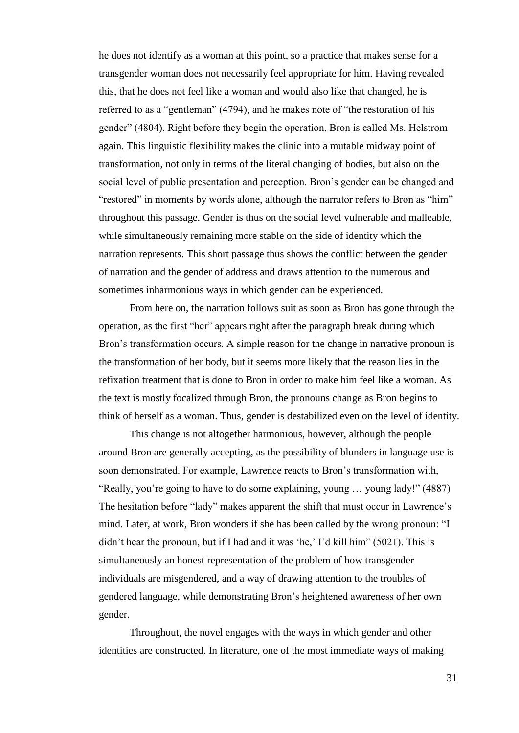he does not identify as a woman at this point, so a practice that makes sense for a transgender woman does not necessarily feel appropriate for him. Having revealed this, that he does not feel like a woman and would also like that changed, he is referred to as a "gentleman" (4794), and he makes note of "the restoration of his gender" (4804). Right before they begin the operation, Bron is called Ms. Helstrom again. This linguistic flexibility makes the clinic into a mutable midway point of transformation, not only in terms of the literal changing of bodies, but also on the social level of public presentation and perception. Bron's gender can be changed and "restored" in moments by words alone, although the narrator refers to Bron as "him" throughout this passage. Gender is thus on the social level vulnerable and malleable, while simultaneously remaining more stable on the side of identity which the narration represents. This short passage thus shows the conflict between the gender of narration and the gender of address and draws attention to the numerous and sometimes inharmonious ways in which gender can be experienced.

From here on, the narration follows suit as soon as Bron has gone through the operation, as the first "her" appears right after the paragraph break during which Bron's transformation occurs. A simple reason for the change in narrative pronoun is the transformation of her body, but it seems more likely that the reason lies in the refixation treatment that is done to Bron in order to make him feel like a woman. As the text is mostly focalized through Bron, the pronouns change as Bron begins to think of herself as a woman. Thus, gender is destabilized even on the level of identity.

This change is not altogether harmonious, however, although the people around Bron are generally accepting, as the possibility of blunders in language use is soon demonstrated. For example, Lawrence reacts to Bron's transformation with, "Really, you're going to have to do some explaining, young … young lady!" (4887) The hesitation before "lady" makes apparent the shift that must occur in Lawrence's mind. Later, at work, Bron wonders if she has been called by the wrong pronoun: "I didn't hear the pronoun, but if I had and it was 'he,' I'd kill him" (5021). This is simultaneously an honest representation of the problem of how transgender individuals are misgendered, and a way of drawing attention to the troubles of gendered language, while demonstrating Bron's heightened awareness of her own gender.

Throughout, the novel engages with the ways in which gender and other identities are constructed. In literature, one of the most immediate ways of making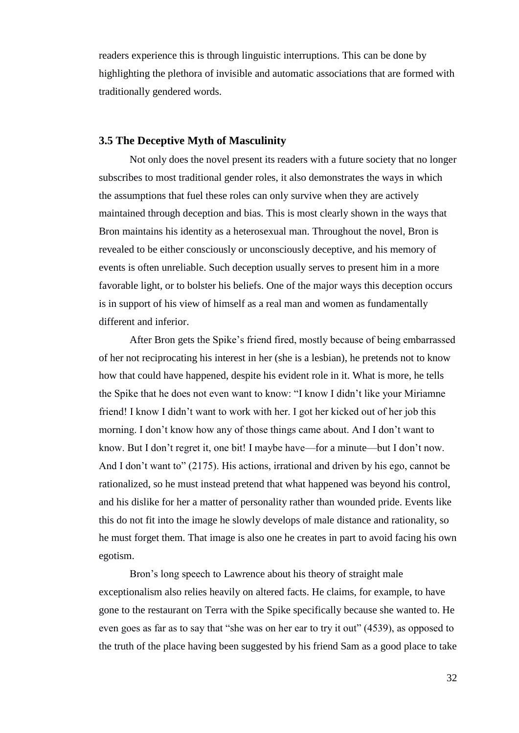readers experience this is through linguistic interruptions. This can be done by highlighting the plethora of invisible and automatic associations that are formed with traditionally gendered words.

#### **3.5 The Deceptive Myth of Masculinity**

Not only does the novel present its readers with a future society that no longer subscribes to most traditional gender roles, it also demonstrates the ways in which the assumptions that fuel these roles can only survive when they are actively maintained through deception and bias. This is most clearly shown in the ways that Bron maintains his identity as a heterosexual man. Throughout the novel, Bron is revealed to be either consciously or unconsciously deceptive, and his memory of events is often unreliable. Such deception usually serves to present him in a more favorable light, or to bolster his beliefs. One of the major ways this deception occurs is in support of his view of himself as a real man and women as fundamentally different and inferior.

After Bron gets the Spike's friend fired, mostly because of being embarrassed of her not reciprocating his interest in her (she is a lesbian), he pretends not to know how that could have happened, despite his evident role in it. What is more, he tells the Spike that he does not even want to know: "I know I didn't like your Miriamne friend! I know I didn't want to work with her. I got her kicked out of her job this morning. I don't know how any of those things came about. And I don't want to know. But I don't regret it, one bit! I maybe have—for a minute—but I don't now. And I don't want to" (2175). His actions, irrational and driven by his ego, cannot be rationalized, so he must instead pretend that what happened was beyond his control, and his dislike for her a matter of personality rather than wounded pride. Events like this do not fit into the image he slowly develops of male distance and rationality, so he must forget them. That image is also one he creates in part to avoid facing his own egotism.

Bron's long speech to Lawrence about his theory of straight male exceptionalism also relies heavily on altered facts. He claims, for example, to have gone to the restaurant on Terra with the Spike specifically because she wanted to. He even goes as far as to say that "she was on her ear to try it out" (4539), as opposed to the truth of the place having been suggested by his friend Sam as a good place to take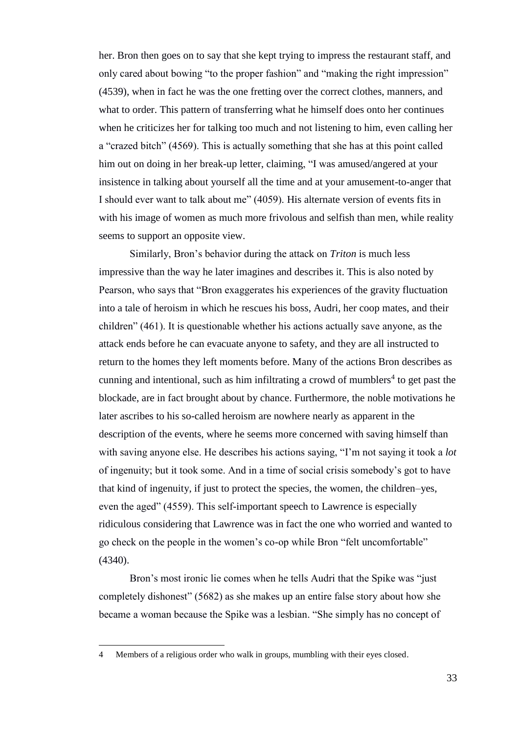her. Bron then goes on to say that she kept trying to impress the restaurant staff, and only cared about bowing "to the proper fashion" and "making the right impression" (4539), when in fact he was the one fretting over the correct clothes, manners, and what to order. This pattern of transferring what he himself does onto her continues when he criticizes her for talking too much and not listening to him, even calling her a "crazed bitch" (4569). This is actually something that she has at this point called him out on doing in her break-up letter, claiming, "I was amused/angered at your insistence in talking about yourself all the time and at your amusement-to-anger that I should ever want to talk about me" (4059). His alternate version of events fits in with his image of women as much more frivolous and selfish than men, while reality seems to support an opposite view.

Similarly, Bron's behavior during the attack on *Triton* is much less impressive than the way he later imagines and describes it. This is also noted by Pearson, who says that "Bron exaggerates his experiences of the gravity fluctuation into a tale of heroism in which he rescues his boss, Audri, her coop mates, and their children" (461). It is questionable whether his actions actually save anyone, as the attack ends before he can evacuate anyone to safety, and they are all instructed to return to the homes they left moments before. Many of the actions Bron describes as cunning and intentional, such as him infiltrating a crowd of mumblers<sup>4</sup> to get past the blockade, are in fact brought about by chance. Furthermore, the noble motivations he later ascribes to his so-called heroism are nowhere nearly as apparent in the description of the events, where he seems more concerned with saving himself than with saving anyone else. He describes his actions saying, "I'm not saying it took a *lot* of ingenuity; but it took some. And in a time of social crisis somebody's got to have that kind of ingenuity, if just to protect the species, the women, the children–yes, even the aged" (4559). This self-important speech to Lawrence is especially ridiculous considering that Lawrence was in fact the one who worried and wanted to go check on the people in the women's co-op while Bron "felt uncomfortable" (4340).

Bron's most ironic lie comes when he tells Audri that the Spike was "just completely dishonest" (5682) as she makes up an entire false story about how she became a woman because the Spike was a lesbian. "She simply has no concept of

l

<sup>4</sup> Members of a religious order who walk in groups, mumbling with their eyes closed.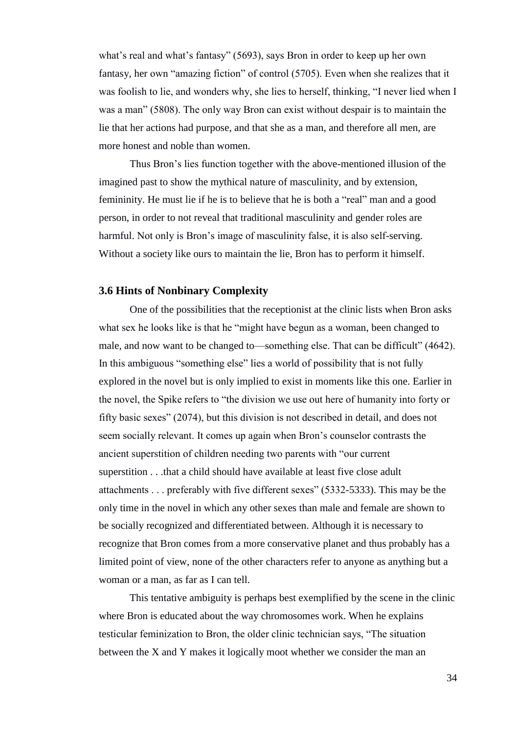what's real and what's fantasy" (5693), says Bron in order to keep up her own fantasy, her own "amazing fiction" of control (5705). Even when she realizes that it was foolish to lie, and wonders why, she lies to herself, thinking, "I never lied when I was a man" (5808). The only way Bron can exist without despair is to maintain the lie that her actions had purpose, and that she as a man, and therefore all men, are more honest and noble than women.

Thus Bron's lies function together with the above-mentioned illusion of the imagined past to show the mythical nature of masculinity, and by extension, femininity. He must lie if he is to believe that he is both a "real" man and a good person, in order to not reveal that traditional masculinity and gender roles are harmful. Not only is Bron's image of masculinity false, it is also self-serving. Without a society like ours to maintain the lie, Bron has to perform it himself.

#### **3.6 Hints of Nonbinary Complexity**

One of the possibilities that the receptionist at the clinic lists when Bron asks what sex he looks like is that he "might have begun as a woman, been changed to male, and now want to be changed to—something else. That can be difficult" (4642). In this ambiguous "something else" lies a world of possibility that is not fully explored in the novel but is only implied to exist in moments like this one. Earlier in the novel, the Spike refers to "the division we use out here of humanity into forty or fifty basic sexes" (2074), but this division is not described in detail, and does not seem socially relevant. It comes up again when Bron's counselor contrasts the ancient superstition of children needing two parents with "our current superstition . . .that a child should have available at least five close adult attachments . . . preferably with five different sexes" (5332-5333). This may be the only time in the novel in which any other sexes than male and female are shown to be socially recognized and differentiated between. Although it is necessary to recognize that Bron comes from a more conservative planet and thus probably has a limited point of view, none of the other characters refer to anyone as anything but a woman or a man, as far as I can tell.

This tentative ambiguity is perhaps best exemplified by the scene in the clinic where Bron is educated about the way chromosomes work. When he explains testicular feminization to Bron, the older clinic technician says, "The situation between the X and Y makes it logically moot whether we consider the man an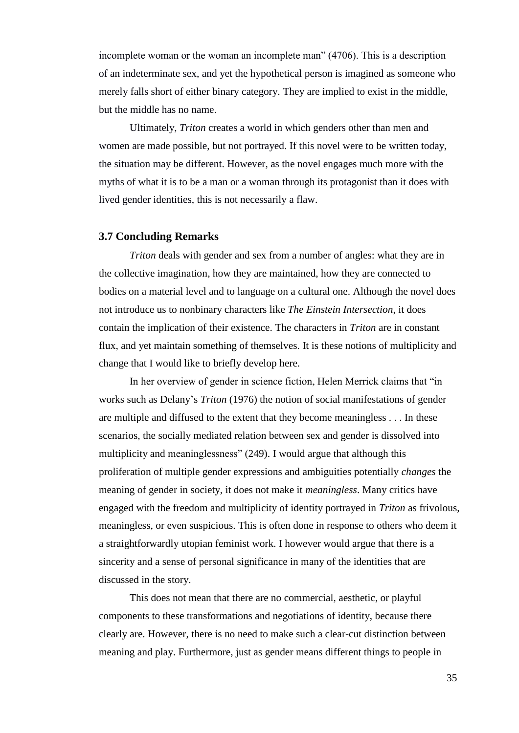incomplete woman or the woman an incomplete man" (4706). This is a description of an indeterminate sex, and yet the hypothetical person is imagined as someone who merely falls short of either binary category. They are implied to exist in the middle, but the middle has no name.

Ultimately, *Triton* creates a world in which genders other than men and women are made possible, but not portrayed. If this novel were to be written today, the situation may be different. However, as the novel engages much more with the myths of what it is to be a man or a woman through its protagonist than it does with lived gender identities, this is not necessarily a flaw.

#### **3.7 Concluding Remarks**

*Triton* deals with gender and sex from a number of angles: what they are in the collective imagination, how they are maintained, how they are connected to bodies on a material level and to language on a cultural one. Although the novel does not introduce us to nonbinary characters like *The Einstein Intersection*, it does contain the implication of their existence. The characters in *Triton* are in constant flux, and yet maintain something of themselves. It is these notions of multiplicity and change that I would like to briefly develop here.

In her overview of gender in science fiction, Helen Merrick claims that "in works such as Delany's *Triton* (1976) the notion of social manifestations of gender are multiple and diffused to the extent that they become meaningless . . . In these scenarios, the socially mediated relation between sex and gender is dissolved into multiplicity and meaninglessness" (249). I would argue that although this proliferation of multiple gender expressions and ambiguities potentially *changes* the meaning of gender in society, it does not make it *meaningless*. Many critics have engaged with the freedom and multiplicity of identity portrayed in *Triton* as frivolous, meaningless, or even suspicious. This is often done in response to others who deem it a straightforwardly utopian feminist work. I however would argue that there is a sincerity and a sense of personal significance in many of the identities that are discussed in the story.

This does not mean that there are no commercial, aesthetic, or playful components to these transformations and negotiations of identity, because there clearly are. However, there is no need to make such a clear-cut distinction between meaning and play. Furthermore, just as gender means different things to people in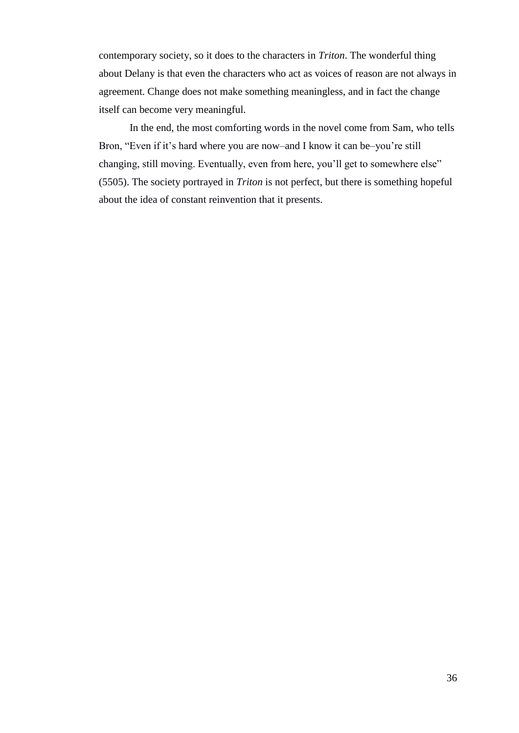contemporary society, so it does to the characters in *Triton*. The wonderful thing about Delany is that even the characters who act as voices of reason are not always in agreement. Change does not make something meaningless, and in fact the change itself can become very meaningful.

In the end, the most comforting words in the novel come from Sam, who tells Bron, "Even if it's hard where you are now–and I know it can be–you're still changing, still moving. Eventually, even from here, you'll get to somewhere else" (5505). The society portrayed in *Triton* is not perfect, but there is something hopeful about the idea of constant reinvention that it presents.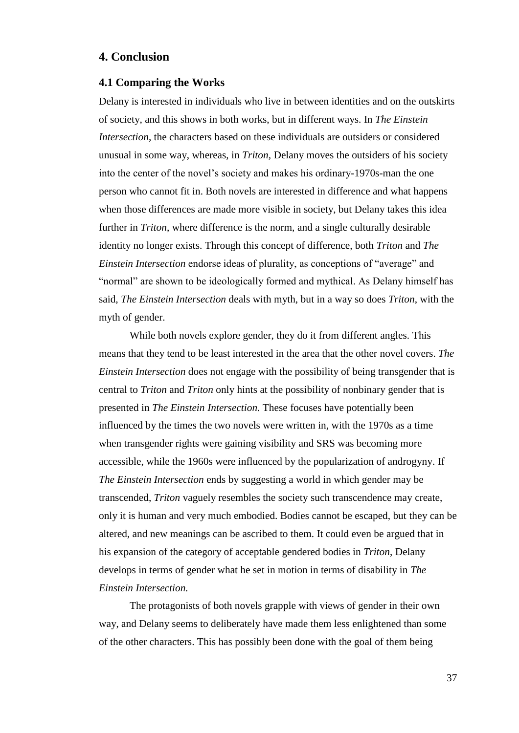### **4. Conclusion**

#### **4.1 Comparing the Works**

Delany is interested in individuals who live in between identities and on the outskirts of society, and this shows in both works, but in different ways. In *The Einstein Intersection*, the characters based on these individuals are outsiders or considered unusual in some way, whereas, in *Triton,* Delany moves the outsiders of his society into the center of the novel's society and makes his ordinary-1970s-man the one person who cannot fit in. Both novels are interested in difference and what happens when those differences are made more visible in society, but Delany takes this idea further in *Triton*, where difference is the norm, and a single culturally desirable identity no longer exists. Through this concept of difference, both *Triton* and *The Einstein Intersection* endorse ideas of plurality, as conceptions of "average" and "normal" are shown to be ideologically formed and mythical. As Delany himself has said, *The Einstein Intersection* deals with myth, but in a way so does *Triton*, with the myth of gender.

While both novels explore gender, they do it from different angles. This means that they tend to be least interested in the area that the other novel covers. *The Einstein Intersection* does not engage with the possibility of being transgender that is central to *Triton* and *Triton* only hints at the possibility of nonbinary gender that is presented in *The Einstein Intersection*. These focuses have potentially been influenced by the times the two novels were written in, with the 1970s as a time when transgender rights were gaining visibility and SRS was becoming more accessible, while the 1960s were influenced by the popularization of androgyny. If *The Einstein Intersection* ends by suggesting a world in which gender may be transcended, *Triton* vaguely resembles the society such transcendence may create, only it is human and very much embodied. Bodies cannot be escaped, but they can be altered, and new meanings can be ascribed to them. It could even be argued that in his expansion of the category of acceptable gendered bodies in *Triton*, Delany develops in terms of gender what he set in motion in terms of disability in *The Einstein Intersection.*

The protagonists of both novels grapple with views of gender in their own way, and Delany seems to deliberately have made them less enlightened than some of the other characters. This has possibly been done with the goal of them being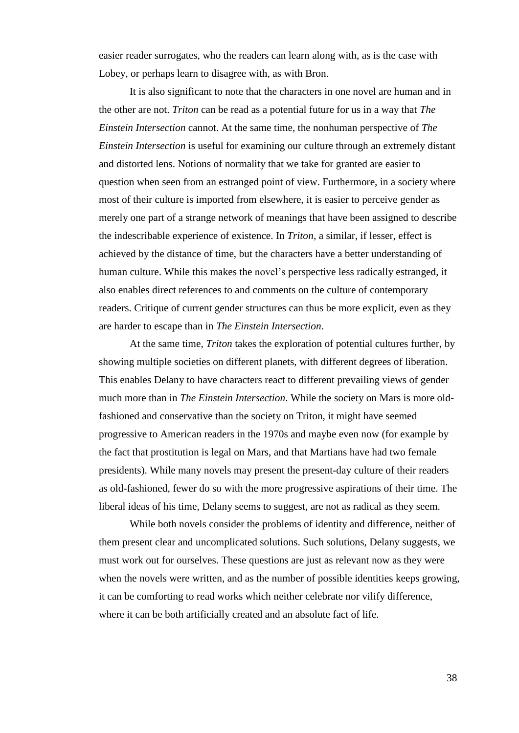easier reader surrogates, who the readers can learn along with, as is the case with Lobey, or perhaps learn to disagree with, as with Bron.

It is also significant to note that the characters in one novel are human and in the other are not. *Triton* can be read as a potential future for us in a way that *The Einstein Intersection* cannot. At the same time, the nonhuman perspective of *The Einstein Intersection* is useful for examining our culture through an extremely distant and distorted lens. Notions of normality that we take for granted are easier to question when seen from an estranged point of view. Furthermore, in a society where most of their culture is imported from elsewhere, it is easier to perceive gender as merely one part of a strange network of meanings that have been assigned to describe the indescribable experience of existence. In *Triton*, a similar, if lesser, effect is achieved by the distance of time, but the characters have a better understanding of human culture. While this makes the novel's perspective less radically estranged, it also enables direct references to and comments on the culture of contemporary readers. Critique of current gender structures can thus be more explicit, even as they are harder to escape than in *The Einstein Intersection*.

At the same time, *Triton* takes the exploration of potential cultures further, by showing multiple societies on different planets, with different degrees of liberation. This enables Delany to have characters react to different prevailing views of gender much more than in *The Einstein Intersection*. While the society on Mars is more oldfashioned and conservative than the society on Triton, it might have seemed progressive to American readers in the 1970s and maybe even now (for example by the fact that prostitution is legal on Mars, and that Martians have had two female presidents). While many novels may present the present-day culture of their readers as old-fashioned, fewer do so with the more progressive aspirations of their time. The liberal ideas of his time, Delany seems to suggest, are not as radical as they seem.

While both novels consider the problems of identity and difference, neither of them present clear and uncomplicated solutions. Such solutions, Delany suggests, we must work out for ourselves. These questions are just as relevant now as they were when the novels were written, and as the number of possible identities keeps growing, it can be comforting to read works which neither celebrate nor vilify difference, where it can be both artificially created and an absolute fact of life.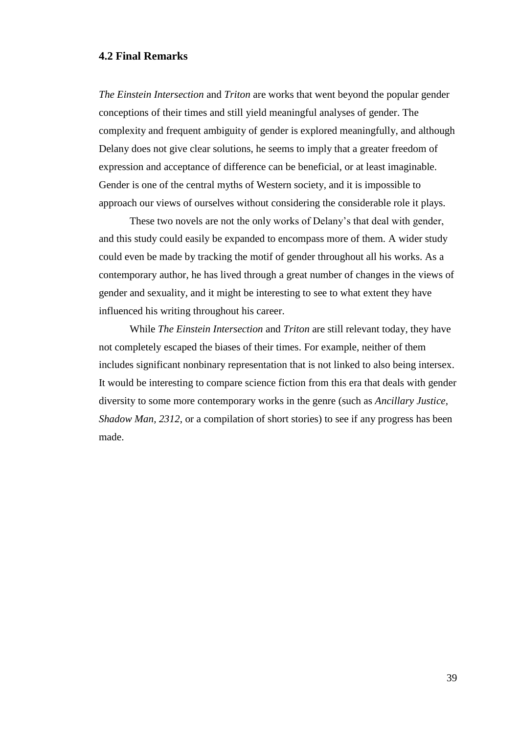#### **4.2 Final Remarks**

*The Einstein Intersection* and *Triton* are works that went beyond the popular gender conceptions of their times and still yield meaningful analyses of gender. The complexity and frequent ambiguity of gender is explored meaningfully, and although Delany does not give clear solutions, he seems to imply that a greater freedom of expression and acceptance of difference can be beneficial, or at least imaginable. Gender is one of the central myths of Western society, and it is impossible to approach our views of ourselves without considering the considerable role it plays.

These two novels are not the only works of Delany's that deal with gender, and this study could easily be expanded to encompass more of them. A wider study could even be made by tracking the motif of gender throughout all his works. As a contemporary author, he has lived through a great number of changes in the views of gender and sexuality, and it might be interesting to see to what extent they have influenced his writing throughout his career.

While *The Einstein Intersection* and *Triton* are still relevant today, they have not completely escaped the biases of their times. For example, neither of them includes significant nonbinary representation that is not linked to also being intersex. It would be interesting to compare science fiction from this era that deals with gender diversity to some more contemporary works in the genre (such as *Ancillary Justice, Shadow Man, 2312*, or a compilation of short stories) to see if any progress has been made.